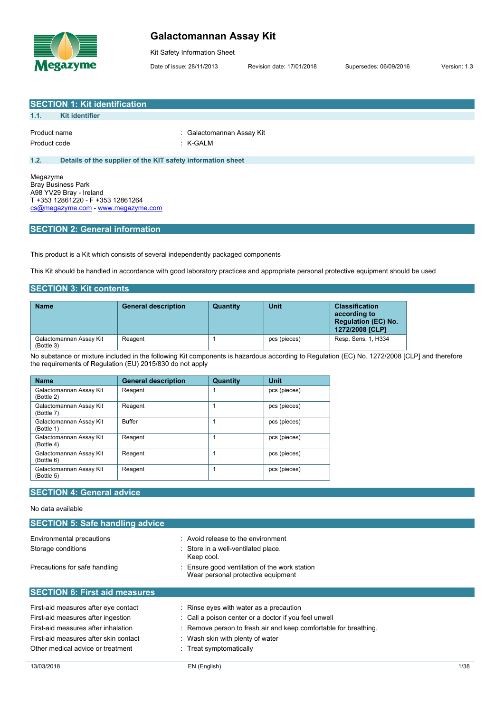

### **Galactomannan Assay Kit**

Kit Safety Information Sheet

Date of issue: 28/11/2013 Revision date: 17/01/2018 Supersedes: 06/09/2016 Version: 1.3

|                              | <b>SECTION 1: Kit identification</b>                        |                                       |
|------------------------------|-------------------------------------------------------------|---------------------------------------|
| 1.1.                         | Kit identifier                                              |                                       |
| Product name<br>Product code |                                                             | : Galactomannan Assay Kit<br>: K-GALM |
| 1.2.                         | Details of the supplier of the KIT safety information sheet |                                       |
|                              | Megazyme<br>Brav Business Park                              |                                       |

Bray Business Park A98 YV29 Bray - Ireland T +353 12861220 - F +353 12861264 [cs@megazyme.com](mailto:cs@megazyme.com) - <www.megazyme.com>

### **SECTION 2: General information**

This product is a Kit which consists of several independently packaged components

This Kit should be handled in accordance with good laboratory practices and appropriate personal protective equipment should be used

#### **SECTION 3: Kit contents**

| <b>Name</b>                           | <b>General description</b> | Quantity | Unit         | <b>Classification</b><br>according to<br><b>Regulation (EC) No.</b><br>1272/2008 [CLP] |
|---------------------------------------|----------------------------|----------|--------------|----------------------------------------------------------------------------------------|
| Galactomannan Assay Kit<br>(Bottle 3) | Reagent                    |          | pcs (pieces) | Resp. Sens. 1, H334                                                                    |

No substance or mixture included in the following Kit components is hazardous according to Regulation (EC) No. 1272/2008 [CLP] and therefore the requirements of Regulation (EU) 2015/830 do not apply

| <b>Name</b>                           | <b>General description</b> | Quantity | <b>Unit</b>  |
|---------------------------------------|----------------------------|----------|--------------|
| Galactomannan Assay Kit<br>(Bottle 2) | Reagent                    |          | pcs (pieces) |
| Galactomannan Assay Kit<br>(Bottle 7) | Reagent                    |          | pcs (pieces) |
| Galactomannan Assay Kit<br>(Bottle 1) | <b>Buffer</b>              |          | pcs (pieces) |
| Galactomannan Assay Kit<br>(Bottle 4) | Reagent                    |          | pcs (pieces) |
| Galactomannan Assay Kit<br>(Bottle 6) | Reagent                    |          | pcs (pieces) |
| Galactomannan Assay Kit<br>(Bottle 5) | Reagent                    |          | pcs (pieces) |

### **SECTION 4: General advice**

#### No data available

| : Avoid release to the environment                                                |
|-----------------------------------------------------------------------------------|
| : Store in a well-ventilated place.<br>Keep cool.                                 |
| Ensure good ventilation of the work station<br>Wear personal protective equipment |
|                                                                                   |
| : Rinse eyes with water as a precaution                                           |
| : Call a poison center or a doctor if you feel unwell                             |
| : Remove person to fresh air and keep comfortable for breathing.                  |
| Wash skin with plenty of water                                                    |
| : Treat symptomatically                                                           |
|                                                                                   |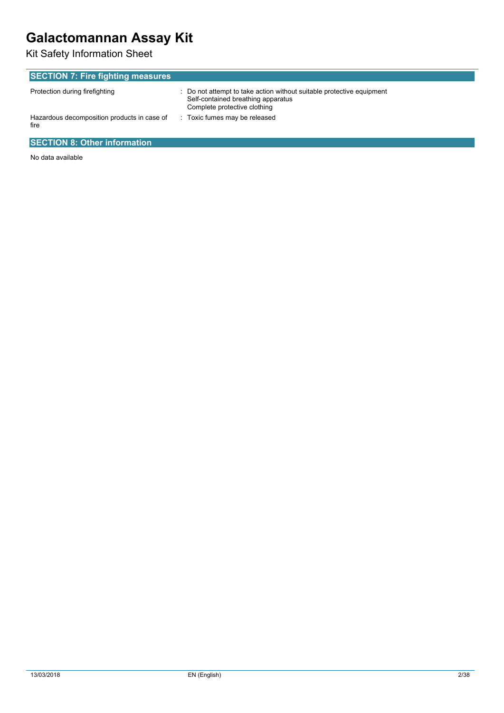# **Galactomannan Assay Kit**

Kit Safety Information Sheet

| <b>SECTION 7: Fire fighting measures</b>            |                                                                                                                                             |  |  |  |
|-----------------------------------------------------|---------------------------------------------------------------------------------------------------------------------------------------------|--|--|--|
| Protection during firefighting                      | : Do not attempt to take action without suitable protective equipment<br>Self-contained breathing apparatus<br>Complete protective clothing |  |  |  |
| Hazardous decomposition products in case of<br>fire | Toxic fumes may be released                                                                                                                 |  |  |  |
| <b>SECTION 8: Other information</b>                 |                                                                                                                                             |  |  |  |

No data available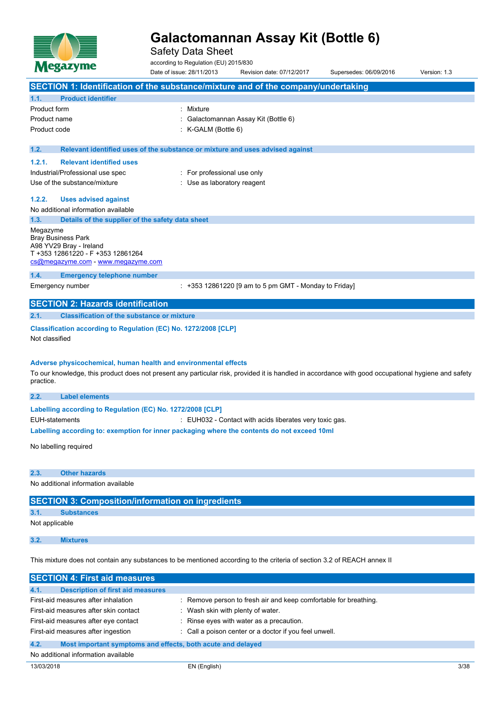

Safety Data Sheet

according to Regulation (EU) 2015/830

Date of issue: 28/11/2013 Revision date: 07/12/2017 Supersedes: 06/09/2016 Version: 1.3 **SECTION 1: Identification of the substance/mixture and of the company/undertaking 1.1. Product identifier** Product form : Nixture Product name : Galactomannan Assay Kit (Bottle 6) Product code : K-GALM (Bottle 6) **1.2. Relevant identified uses of the substance or mixture and uses advised against 1.2.1. Relevant identified uses** Industrial/Professional use spec : For professional use only Use of the substance/mixture in the substance/mixture in the substance of the substance of the substance of the substance of the substance of the substance of the substance of the substance of the substance of the substanc **1.2.2. Uses advised against** No additional information available **1.3. Details of the supplier of the safety data sheet** Megazyme Bray Business Park A98 YV29 Bray - Ireland T +353 12861220 - F +353 12861264 [cs@megazyme.com](mailto:cs@megazyme.com) - <www.megazyme.com> **1.4. Emergency telephone number** Emergency number : +353 12861220 [9 am to 5 pm GMT - Monday to Friday] **SECTION 2: Hazards identification 2.1. Classification of the substance or mixture Classification according to Regulation (EC) No. 1272/2008 [CLP]** Not classified **Adverse physicochemical, human health and environmental effects** To our knowledge, this product does not present any particular risk, provided it is handled in accordance with good occupational hygiene and safety practice. **2.2. Label elements Labelling** according to Regulation (EC) No. 1272/2008 [CLP] EUH-statements : EUH032 - Contact with acids liberates very toxic gas. **Labelling according to: exemption for inner packaging where the contents do not exceed 10ml** No labelling required **2.3. Other hazards** No additional information available **SECTION 3: Composition/information on ingredients 3.1. Substances** Not applicable

**3.2. Mixtures**

This mixture does not contain any substances to be mentioned according to the criteria of section 3.2 of REACH annex II

| <b>SECTION 4: First aid measures</b>                                |                                                                  |  |  |
|---------------------------------------------------------------------|------------------------------------------------------------------|--|--|
| <b>Description of first aid measures</b><br>4.1.                    |                                                                  |  |  |
| First-aid measures after inhalation                                 | : Remove person to fresh air and keep comfortable for breathing. |  |  |
| First-aid measures after skin contact                               | Wash skin with plenty of water.                                  |  |  |
| First-aid measures after eye contact                                | : Rinse eyes with water as a precaution.                         |  |  |
| First-aid measures after ingestion                                  | : Call a poison center or a doctor if you feel unwell.           |  |  |
| 4.2.<br>Most important symptoms and effects, both acute and delayed |                                                                  |  |  |
| No additional information available                                 |                                                                  |  |  |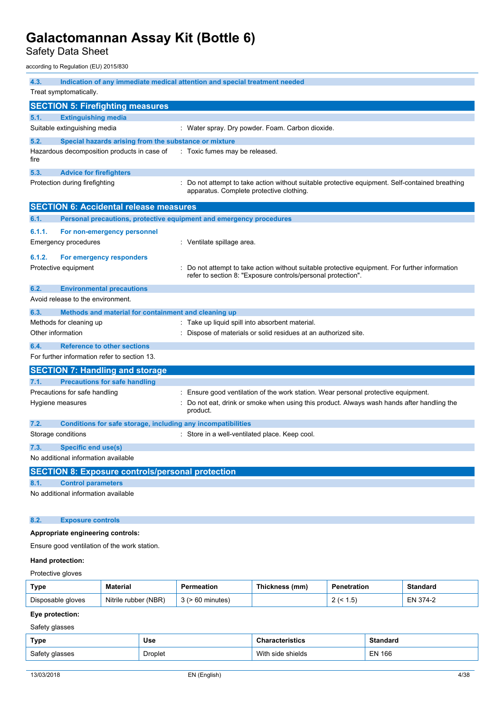Safety Data Sheet

according to Regulation (EU) 2015/830

| 4.3.               | Indication of any immediate medical attention and special treatment needed |                                                                                                                                                                                |  |  |
|--------------------|----------------------------------------------------------------------------|--------------------------------------------------------------------------------------------------------------------------------------------------------------------------------|--|--|
|                    | Treat symptomatically.                                                     |                                                                                                                                                                                |  |  |
|                    | <b>SECTION 5: Firefighting measures</b>                                    |                                                                                                                                                                                |  |  |
| 5.1.               | <b>Extinguishing media</b>                                                 |                                                                                                                                                                                |  |  |
|                    | Suitable extinguishing media                                               | : Water spray. Dry powder. Foam. Carbon dioxide.                                                                                                                               |  |  |
| 5.2.               | Special hazards arising from the substance or mixture                      |                                                                                                                                                                                |  |  |
| fire               | Hazardous decomposition products in case of                                | : Toxic fumes may be released.                                                                                                                                                 |  |  |
| 5.3.               | <b>Advice for firefighters</b>                                             |                                                                                                                                                                                |  |  |
|                    | Protection during firefighting                                             | Do not attempt to take action without suitable protective equipment. Self-contained breathing<br>apparatus. Complete protective clothing.                                      |  |  |
|                    | <b>SECTION 6: Accidental release measures</b>                              |                                                                                                                                                                                |  |  |
| 6.1.               | Personal precautions, protective equipment and emergency procedures        |                                                                                                                                                                                |  |  |
| 6.1.1.             | For non-emergency personnel                                                |                                                                                                                                                                                |  |  |
|                    | <b>Emergency procedures</b>                                                | : Ventilate spillage area.                                                                                                                                                     |  |  |
| 6.1.2.             | For emergency responders                                                   |                                                                                                                                                                                |  |  |
|                    | Protective equipment                                                       | Do not attempt to take action without suitable protective equipment. For further information<br>refer to section 8: "Exposure controls/personal protection".                   |  |  |
| 6.2.               | <b>Environmental precautions</b>                                           |                                                                                                                                                                                |  |  |
|                    | Avoid release to the environment.                                          |                                                                                                                                                                                |  |  |
| 6.3.               | Methods and material for containment and cleaning up                       |                                                                                                                                                                                |  |  |
|                    | Methods for cleaning up                                                    | Take up liquid spill into absorbent material.                                                                                                                                  |  |  |
| Other information  |                                                                            | Dispose of materials or solid residues at an authorized site.                                                                                                                  |  |  |
| 6.4.               | <b>Reference to other sections</b>                                         |                                                                                                                                                                                |  |  |
|                    | For further information refer to section 13.                               |                                                                                                                                                                                |  |  |
|                    | <b>SECTION 7: Handling and storage</b>                                     |                                                                                                                                                                                |  |  |
| 7.1.               | <b>Precautions for safe handling</b>                                       |                                                                                                                                                                                |  |  |
|                    | Precautions for safe handling<br>Hygiene measures                          | : Ensure good ventilation of the work station. Wear personal protective equipment.<br>Do not eat, drink or smoke when using this product. Always wash hands after handling the |  |  |
|                    |                                                                            | product.                                                                                                                                                                       |  |  |
| 7.2.               | Conditions for safe storage, including any incompatibilities               |                                                                                                                                                                                |  |  |
| Storage conditions |                                                                            | : Store in a well-ventilated place. Keep cool.                                                                                                                                 |  |  |
| 7.3.               | Specific end use(s)                                                        |                                                                                                                                                                                |  |  |
|                    | No additional information available                                        |                                                                                                                                                                                |  |  |
|                    | <b>SECTION 8: Exposure controls/personal protection</b>                    |                                                                                                                                                                                |  |  |
| 8.1.               | <b>Control parameters</b>                                                  |                                                                                                                                                                                |  |  |
|                    | No additional information available                                        |                                                                                                                                                                                |  |  |
| 8.2.               | <b>Exposure controls</b>                                                   |                                                                                                                                                                                |  |  |
|                    | Appropriate engineering controls:                                          |                                                                                                                                                                                |  |  |
|                    | Ensure good ventilation of the work station.                               |                                                                                                                                                                                |  |  |
|                    | Hand protection:                                                           |                                                                                                                                                                                |  |  |

### Protective gloves

| Type              | Material                | Permeation | Thickness (mm) | Penetration      | Standard     |
|-------------------|-------------------------|------------|----------------|------------------|--------------|
| Disposable gloves | (NBR)<br>Nitrile rubber | minutes    |                | . .5<br><u>_</u> | – N<br>$4-1$ |

### **Eye protection:**

Safety glasses

| Type           | Use     | <b>Characteristics</b> | <b>Standard</b> |
|----------------|---------|------------------------|-----------------|
| Safety glasses | Droplet | With side shields      | <b>EN 166</b>   |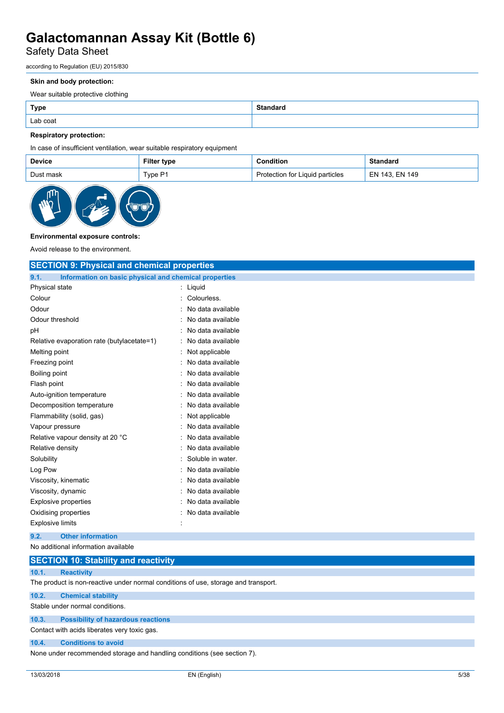## Safety Data Sheet

according to Regulation (EU) 2015/830

#### **Skin and body protection:**

Wear suitable protective clothing

| Lab coat |  |
|----------|--|

#### **Respiratory protection:**

In case of insufficient ventilation, wear suitable respiratory equipment

| <b>Device</b> | Filter type | Condition                       | <b>Standard</b> |
|---------------|-------------|---------------------------------|-----------------|
| Dust mask     | Type P1     | Protection for Liquid particles | EN 143. EN 149  |



#### **Environmental exposure controls:**

Avoid release to the environment.

| <b>SECTION 9: Physical and chemical properties</b>            |                     |
|---------------------------------------------------------------|---------------------|
| 9.1.<br>Information on basic physical and chemical properties |                     |
| Physical state                                                | : Liquid            |
| Colour                                                        | Colourless.         |
| Odour                                                         | No data available   |
| Odour threshold                                               | No data available   |
| pH                                                            | No data available   |
| Relative evaporation rate (butylacetate=1)                    | No data available   |
| Melting point                                                 | Not applicable      |
| Freezing point                                                | No data available   |
| Boiling point                                                 | No data available   |
| Flash point                                                   | No data available   |
| Auto-ignition temperature                                     | No data available   |
| Decomposition temperature                                     | No data available   |
| Flammability (solid, gas)                                     | : Not applicable    |
| Vapour pressure                                               | No data available   |
| Relative vapour density at 20 °C                              | No data available   |
| Relative density                                              | No data available   |
| Solubility                                                    | Soluble in water.   |
| Log Pow                                                       | No data available   |
| Viscosity, kinematic                                          | No data available   |
| Viscosity, dynamic                                            | No data available   |
| <b>Explosive properties</b>                                   | No data available   |
| Oxidising properties                                          | : No data available |
| <b>Explosive limits</b>                                       |                     |
| <b>Other information</b><br>9.2.                              |                     |
| No additional information available                           |                     |

### **SECTION 10: Stability and reactivity 10.1. Reactivity** The product is non-reactive under normal conditions of use, storage and transport. **10.2. Chemical stability** Stable under normal conditions.

### **10.3. Possibility of hazardous reactions**

Contact with acids liberates very toxic gas.

#### **10.4. Conditions to avoid**

None under recommended storage and handling conditions (see section 7).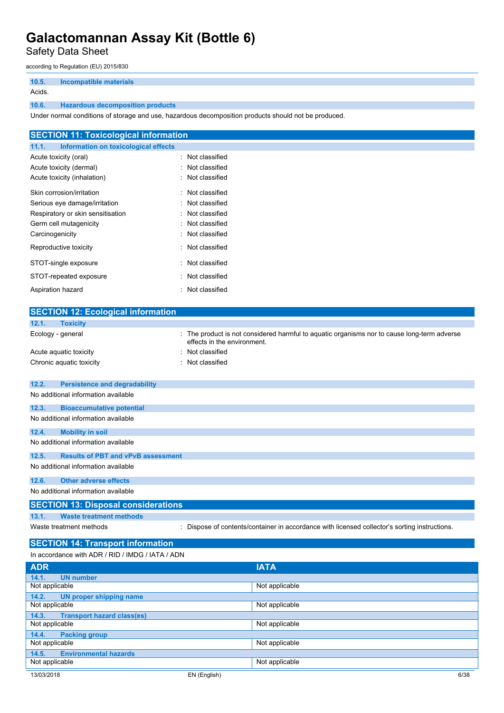Safety Data Sheet

according to Regulation (EU) 2015/830

| 10.5.  | Incompatible materials                  |
|--------|-----------------------------------------|
| Acids. |                                         |
| 10.6.  | <b>Hazardous decomposition products</b> |

Under normal conditions of storage and use, hazardous decomposition products should not be produced.

| <b>SECTION 11: Toxicological information</b>  |                  |  |
|-----------------------------------------------|------------------|--|
| Information on toxicological effects<br>11.1. |                  |  |
| Acute toxicity (oral)                         | : Not classified |  |
| Acute toxicity (dermal)                       | : Not classified |  |
| Acute toxicity (inhalation)                   | : Not classified |  |
| Skin corrosion/irritation                     | : Not classified |  |
| Serious eye damage/irritation                 | : Not classified |  |
| Respiratory or skin sensitisation             | : Not classified |  |
| Germ cell mutagenicity                        | : Not classified |  |
| Carcinogenicity                               | : Not classified |  |
| Reproductive toxicity                         | : Not classified |  |
| STOT-single exposure                          | : Not classified |  |
| STOT-repeated exposure                        | : Not classified |  |
| Aspiration hazard                             | : Not classified |  |

| <b>SECTION 12: Ecological information</b>          |                                                                                                                          |
|----------------------------------------------------|--------------------------------------------------------------------------------------------------------------------------|
| <b>Toxicity</b><br>12.1.                           |                                                                                                                          |
| Ecology - general                                  | The product is not considered harmful to aquatic organisms nor to cause long-term adverse<br>effects in the environment. |
| Acute aquatic toxicity                             | Not classified                                                                                                           |
| Chronic aquatic toxicity                           | Not classified                                                                                                           |
|                                                    |                                                                                                                          |
| 12.2.<br><b>Persistence and degradability</b>      |                                                                                                                          |
| No additional information available                |                                                                                                                          |
| 12.3.<br><b>Bioaccumulative potential</b>          |                                                                                                                          |
| No additional information available                |                                                                                                                          |
| 12.4.<br><b>Mobility in soil</b>                   |                                                                                                                          |
| No additional information available                |                                                                                                                          |
| <b>Results of PBT and vPvB assessment</b><br>12.5. |                                                                                                                          |
| No additional information available                |                                                                                                                          |
| <b>Other adverse effects</b><br>12.6.              |                                                                                                                          |
| No additional information available                |                                                                                                                          |
| <b>SECTION 13: Disposal considerations</b>         |                                                                                                                          |
| <b>Waste treatment methods</b><br>13.1.            |                                                                                                                          |
| Waste treatment methods                            | Dispose of contents/container in accordance with licensed collector's sorting instructions.                              |
| <b>SECTION 14: Transport information</b>           |                                                                                                                          |
| In accordance with ADR / RID / IMDG / IATA / ADN   |                                                                                                                          |
| <b>ADR</b>                                         | <b>IATA</b>                                                                                                              |
| <b>UN number</b><br>14.1.                          |                                                                                                                          |
| Not applicable                                     | Not applicable                                                                                                           |
| 14.2.<br><b>UN proper shipping name</b>            |                                                                                                                          |
| Not applicable                                     | Not applicable                                                                                                           |
| 14.3.<br><b>Transport hazard class(es)</b>         |                                                                                                                          |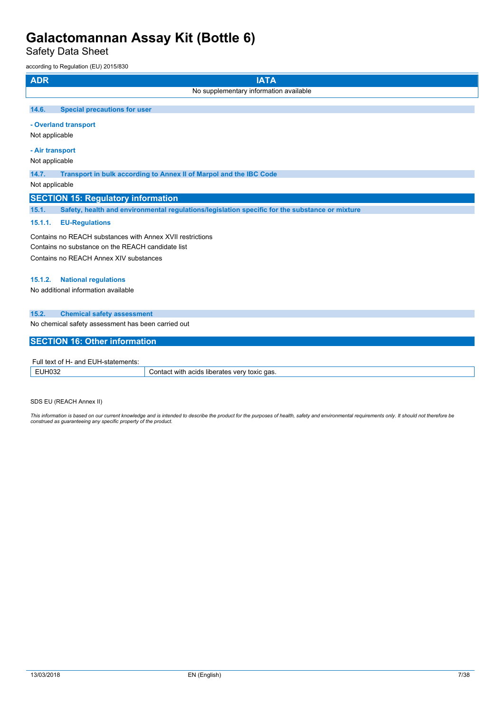Safety Data Sheet

according to Regulation (EU) 2015/830

| <b>ADR</b><br><b>IATA</b>                                                                               |  |  |
|---------------------------------------------------------------------------------------------------------|--|--|
| No supplementary information available                                                                  |  |  |
|                                                                                                         |  |  |
| 14.6.<br><b>Special precautions for user</b>                                                            |  |  |
| - Overland transport                                                                                    |  |  |
| Not applicable                                                                                          |  |  |
| - Air transport                                                                                         |  |  |
| Not applicable                                                                                          |  |  |
| 14.7.<br>Transport in bulk according to Annex II of Marpol and the IBC Code                             |  |  |
| Not applicable                                                                                          |  |  |
| <b>SECTION 15: Regulatory information</b>                                                               |  |  |
| 15.1.<br>Safety, health and environmental regulations/legislation specific for the substance or mixture |  |  |
| 15.1.1.<br><b>EU-Regulations</b>                                                                        |  |  |
| Contains no REACH substances with Annex XVII restrictions                                               |  |  |
| Contains no substance on the REACH candidate list                                                       |  |  |
| Contains no REACH Annex XIV substances                                                                  |  |  |
|                                                                                                         |  |  |
| <b>National regulations</b><br>15.1.2.<br>No additional information available                           |  |  |
|                                                                                                         |  |  |
| 15.2.<br><b>Chemical safety assessment</b>                                                              |  |  |
| No chemical safety assessment has been carried out                                                      |  |  |
|                                                                                                         |  |  |
| <b>SECTION 16: Other information</b>                                                                    |  |  |
| Full text of H- and EUH-statements:                                                                     |  |  |
|                                                                                                         |  |  |

| all toxt of the and EQT readquarterities |                                                                     |  |
|------------------------------------------|---------------------------------------------------------------------|--|
| 11100<br><br>IVVZ                        | ct with<br>aas<br>acıds<br>`onta<br>liberates<br>toxic<br>v<br>. 61 |  |
|                                          |                                                                     |  |

SDS EU (REACH Annex II)

This information is based on our current knowledge and is intended to describe the product for the purposes of health, safety and environmental requirements only. It should not therefore be<br>construed as guaranteeing any sp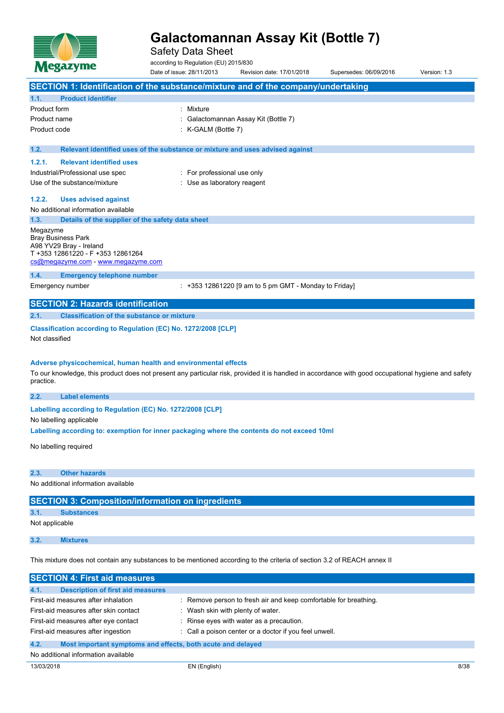

Safety Data Sheet

according to Regulation (EU) 2015/830

Date of issue: 28/11/2013 Revision date: 17/01/2018 Supersedes: 06/09/2016 Version: 1.3 **SECTION 1: Identification of the substance/mixture and of the company/undertaking 1.1. Product identifier** Product form : Nixture Product name : Galactomannan Assay Kit (Bottle 7) Product code : K-GALM (Bottle 7) **1.2. Relevant identified uses of the substance or mixture and uses advised against 1.2.1. Relevant identified uses** Industrial/Professional use spec : For professional use only Use of the substance/mixture in the substance/mixture in the substance of the substance of the substance of the substance of the substance of the substance of the substance of the substance of the substance of the substanc **1.2.2. Uses advised against** No additional information available **1.3. Details of the supplier of the safety data sheet** Megazyme Bray Business Park A98 YV29 Bray - Ireland T +353 12861220 - F +353 12861264 [cs@megazyme.com](mailto:cs@megazyme.com) - <www.megazyme.com> **1.4. Emergency telephone number** Emergency number : +353 12861220 [9 am to 5 pm GMT - Monday to Friday] **SECTION 2: Hazards identification 2.1. Classification of the substance or mixture Classification according to Regulation (EC) No. 1272/2008 [CLP]** Not classified **Adverse physicochemical, human health and environmental effects** To our knowledge, this product does not present any particular risk, provided it is handled in accordance with good occupational hygiene and safety practice. **2.2. Label elements Labelling** according to Regulation (EC) No. 1272/2008 [CLP] No labelling applicable **Labelling according to: exemption for inner packaging where the contents do not exceed 10ml** No labelling required

**2.3. Other hazards**

No additional information available

**SECTION 3: Composition/information on ingredients**

**3.1. Substances**

Not applicable

**3.2. Mixtures**

This mixture does not contain any substances to be mentioned according to the criteria of section 3.2 of REACH annex II

| <b>SECTION 4: First aid measures</b>                                |                                                                  |  |
|---------------------------------------------------------------------|------------------------------------------------------------------|--|
| 4.1.<br><b>Description of first aid measures</b>                    |                                                                  |  |
| First-aid measures after inhalation                                 | : Remove person to fresh air and keep comfortable for breathing. |  |
| First-aid measures after skin contact                               | Wash skin with plenty of water.                                  |  |
| First-aid measures after eye contact                                | : Rinse eyes with water as a precaution.                         |  |
| First-aid measures after ingestion                                  | : Call a poison center or a doctor if you feel unwell.           |  |
| 4.2.<br>Most important symptoms and effects, both acute and delayed |                                                                  |  |
| No additional information available                                 |                                                                  |  |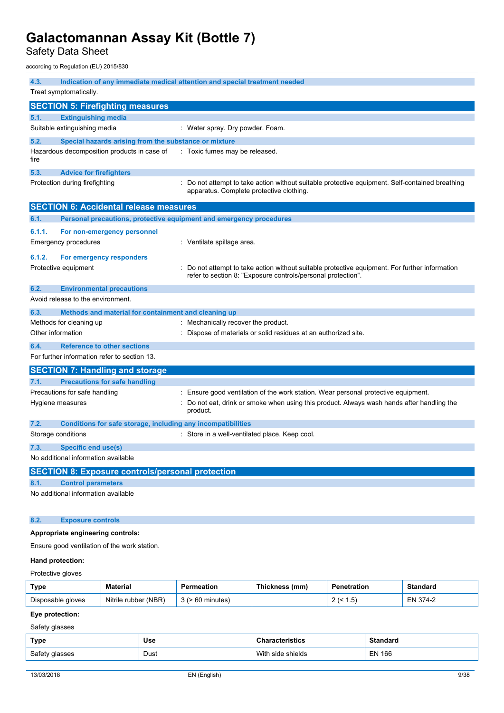Safety Data Sheet

according to Regulation (EU) 2015/830

| 4.3.<br>Indication of any immediate medical attention and special treatment needed<br>Treat symptomatically. |                                                                     |                                                                                                                                                              |  |  |
|--------------------------------------------------------------------------------------------------------------|---------------------------------------------------------------------|--------------------------------------------------------------------------------------------------------------------------------------------------------------|--|--|
| <b>SECTION 5: Firefighting measures</b>                                                                      |                                                                     |                                                                                                                                                              |  |  |
| 5.1.                                                                                                         | <b>Extinguishing media</b>                                          |                                                                                                                                                              |  |  |
|                                                                                                              | Suitable extinguishing media                                        | : Water spray. Dry powder. Foam.                                                                                                                             |  |  |
| 5.2.                                                                                                         | Special hazards arising from the substance or mixture               |                                                                                                                                                              |  |  |
| fire                                                                                                         | Hazardous decomposition products in case of                         | : Toxic fumes may be released.                                                                                                                               |  |  |
| 5.3.                                                                                                         | <b>Advice for firefighters</b>                                      |                                                                                                                                                              |  |  |
|                                                                                                              | Protection during firefighting                                      | : Do not attempt to take action without suitable protective equipment. Self-contained breathing<br>apparatus. Complete protective clothing.                  |  |  |
|                                                                                                              | <b>SECTION 6: Accidental release measures</b>                       |                                                                                                                                                              |  |  |
| 6.1.                                                                                                         | Personal precautions, protective equipment and emergency procedures |                                                                                                                                                              |  |  |
| 6.1.1.                                                                                                       | For non-emergency personnel                                         |                                                                                                                                                              |  |  |
|                                                                                                              | Emergency procedures                                                | : Ventilate spillage area.                                                                                                                                   |  |  |
| 6.1.2.                                                                                                       | For emergency responders                                            |                                                                                                                                                              |  |  |
|                                                                                                              | Protective equipment                                                | Do not attempt to take action without suitable protective equipment. For further information<br>refer to section 8: "Exposure controls/personal protection". |  |  |
| 6.2.                                                                                                         | <b>Environmental precautions</b>                                    |                                                                                                                                                              |  |  |
|                                                                                                              | Avoid release to the environment.                                   |                                                                                                                                                              |  |  |
| 6.3.                                                                                                         | Methods and material for containment and cleaning up                |                                                                                                                                                              |  |  |
|                                                                                                              | Methods for cleaning up                                             | : Mechanically recover the product.                                                                                                                          |  |  |
| Other information                                                                                            |                                                                     | : Dispose of materials or solid residues at an authorized site.                                                                                              |  |  |
| 6.4.                                                                                                         | <b>Reference to other sections</b>                                  |                                                                                                                                                              |  |  |
|                                                                                                              | For further information refer to section 13.                        |                                                                                                                                                              |  |  |
|                                                                                                              | <b>SECTION 7: Handling and storage</b>                              |                                                                                                                                                              |  |  |
| 7.1.                                                                                                         | <b>Precautions for safe handling</b>                                |                                                                                                                                                              |  |  |
|                                                                                                              | Precautions for safe handling                                       | Ensure good ventilation of the work station. Wear personal protective equipment.                                                                             |  |  |
|                                                                                                              | Hygiene measures                                                    | Do not eat, drink or smoke when using this product. Always wash hands after handling the<br>product.                                                         |  |  |
| 7.2.                                                                                                         | Conditions for safe storage, including any incompatibilities        |                                                                                                                                                              |  |  |
|                                                                                                              | Storage conditions                                                  | : Store in a well-ventilated place. Keep cool.                                                                                                               |  |  |
| 7.3.                                                                                                         | Specific end use(s)                                                 |                                                                                                                                                              |  |  |
|                                                                                                              | No additional information available                                 |                                                                                                                                                              |  |  |
|                                                                                                              | <b>SECTION 8: Exposure controls/personal protection</b>             |                                                                                                                                                              |  |  |
| 8.1.                                                                                                         | <b>Control parameters</b>                                           |                                                                                                                                                              |  |  |
|                                                                                                              | No additional information available                                 |                                                                                                                                                              |  |  |
|                                                                                                              |                                                                     |                                                                                                                                                              |  |  |
| 8.2.                                                                                                         | <b>Exposure controls</b>                                            |                                                                                                                                                              |  |  |
| Appropriate engineering controls:                                                                            |                                                                     |                                                                                                                                                              |  |  |
| Ensure good ventilation of the work station.                                                                 |                                                                     |                                                                                                                                                              |  |  |
| Hand protection:                                                                                             |                                                                     |                                                                                                                                                              |  |  |
| Protective gloves                                                                                            |                                                                     |                                                                                                                                                              |  |  |

| <b>Type</b>       | <b>Material</b>      | Permeation   | Thickness (mm) | Penetration              | <b>Standard</b> |
|-------------------|----------------------|--------------|----------------|--------------------------|-----------------|
| Disposable gloves | Nitrile rubber (NBR) | ∙ 60 minutes |                | $.5^{\circ}$<br><u>.</u> | EN 374-2        |

### **Eye protection:**

Safety glasses

| Type           | <b>Use</b> | racterístics          | Standaro      |
|----------------|------------|-----------------------|---------------|
| Safety glasses | Dust       | With<br>⊨side shields | <b>EN 166</b> |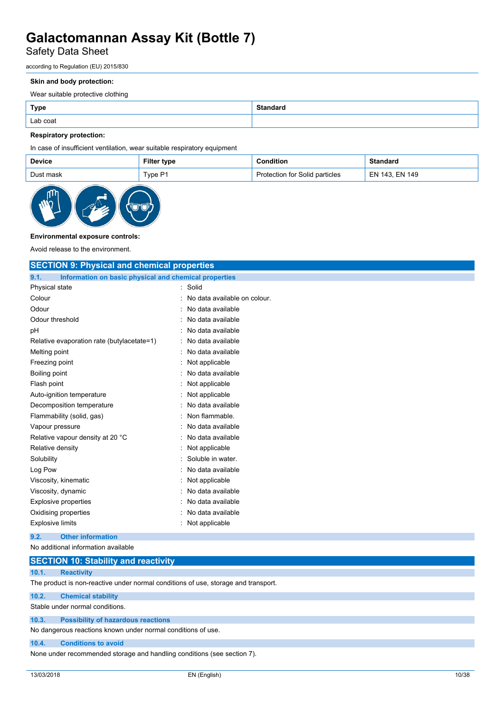## Safety Data Sheet

according to Regulation (EU) 2015/830

#### **Skin and body protection:**

Wear suitable protective clothing

| <b>Type</b> | <b>Standard</b> |
|-------------|-----------------|
| Lab coat    |                 |

#### **Respiratory protection:**

In case of insufficient ventilation, wear suitable respiratory equipment

| <b>Device</b> | Filter type | Condition                      | <b>Standard</b> |
|---------------|-------------|--------------------------------|-----------------|
| Dust mask     | Type P1     | Protection for Solid particles | EN 143. EN 149  |



#### **Environmental exposure controls:**

Avoid release to the environment.

| <b>SECTION 9: Physical and chemical properties</b>            |                              |  |
|---------------------------------------------------------------|------------------------------|--|
| Information on basic physical and chemical properties<br>9.1. |                              |  |
| Physical state                                                | : Solid                      |  |
| Colour                                                        | No data available on colour. |  |
| Odour                                                         | No data available            |  |
| Odour threshold                                               | No data available            |  |
| pH                                                            | No data available            |  |
| Relative evaporation rate (butylacetate=1)                    | No data available            |  |
| Melting point                                                 | No data available            |  |
| Freezing point                                                | Not applicable               |  |
| Boiling point                                                 | No data available            |  |
| Flash point                                                   | Not applicable               |  |
| Auto-ignition temperature                                     | Not applicable               |  |
| Decomposition temperature                                     | No data available            |  |
| Flammability (solid, gas)                                     | Non flammable.               |  |
| Vapour pressure                                               | No data available            |  |
| Relative vapour density at 20 °C                              | No data available            |  |
| Relative density                                              | Not applicable               |  |
| Solubility                                                    | Soluble in water.            |  |
| Log Pow                                                       | No data available            |  |
| Viscosity, kinematic                                          | Not applicable               |  |
| Viscosity, dynamic                                            | No data available            |  |
| Explosive properties                                          | No data available            |  |
| Oxidising properties                                          | No data available            |  |
| <b>Explosive limits</b>                                       | Not applicable               |  |
| <b>Other information</b><br>9.2.                              |                              |  |
| No additional information available                           |                              |  |

|       | <b>SECTION 10: Stability and reactivity</b>                                        |
|-------|------------------------------------------------------------------------------------|
| 10.1. | <b>Reactivity</b>                                                                  |
|       | The product is non-reactive under normal conditions of use, storage and transport. |
| 10.2. | <b>Chemical stability</b>                                                          |
|       | Stable under normal conditions.                                                    |
| 10.3. | <b>Possibility of hazardous reactions</b>                                          |
|       | No dangerous reactions known under normal conditions of use.                       |
| 10.4. | <b>Conditions to avoid</b>                                                         |

None under recommended storage and handling conditions (see section 7).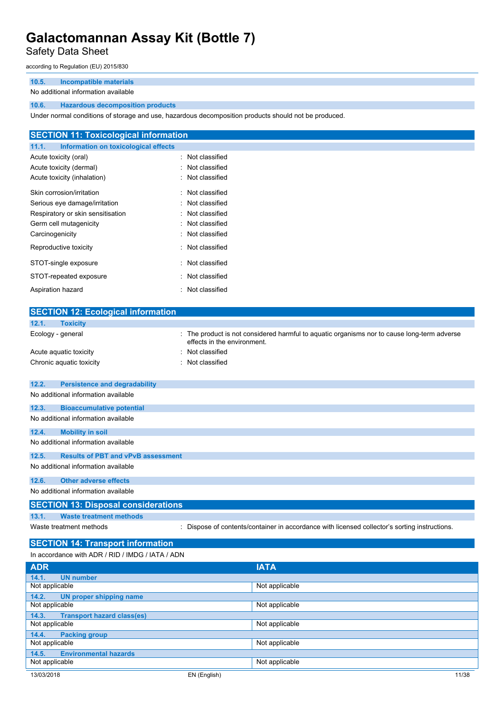### Safety Data Sheet

according to Regulation (EU) 2015/830

#### **10.5. Incompatible materials**

#### No additional information available

#### **10.6. Hazardous decomposition products**

Under normal conditions of storage and use, hazardous decomposition products should not be produced.

| <b>SECTION 11: Toxicological information</b>  |                  |
|-----------------------------------------------|------------------|
| Information on toxicological effects<br>11.1. |                  |
| Acute toxicity (oral)                         | : Not classified |
| Acute toxicity (dermal)                       | : Not classified |
| Acute toxicity (inhalation)                   | : Not classified |
| Skin corrosion/irritation                     | : Not classified |
| Serious eye damage/irritation                 | : Not classified |
| Respiratory or skin sensitisation             | : Not classified |
| Germ cell mutagenicity                        | : Not classified |
| Carcinogenicity                               | : Not classified |
| Reproductive toxicity                         | : Not classified |
| STOT-single exposure                          | : Not classified |
| STOT-repeated exposure                        | : Not classified |
| Aspiration hazard                             | : Not classified |

| <b>SECTION 12: Ecological information</b>          |                                                                                                                            |
|----------------------------------------------------|----------------------------------------------------------------------------------------------------------------------------|
| 12.1.<br><b>Toxicity</b>                           |                                                                                                                            |
| Ecology - general                                  | : The product is not considered harmful to aquatic organisms nor to cause long-term adverse<br>effects in the environment. |
| Acute aquatic toxicity                             | : Not classified                                                                                                           |
| Chronic aquatic toxicity                           | Not classified                                                                                                             |
|                                                    |                                                                                                                            |
| 12.2.<br><b>Persistence and degradability</b>      |                                                                                                                            |
| No additional information available                |                                                                                                                            |
| 12.3.<br><b>Bioaccumulative potential</b>          |                                                                                                                            |
| No additional information available                |                                                                                                                            |
| <b>Mobility in soil</b><br>12.4.                   |                                                                                                                            |
| No additional information available                |                                                                                                                            |
| <b>Results of PBT and vPvB assessment</b><br>12.5. |                                                                                                                            |
| No additional information available                |                                                                                                                            |
| 12.6.<br><b>Other adverse effects</b>              |                                                                                                                            |
| No additional information available                |                                                                                                                            |
| <b>SECTION 13: Disposal considerations</b>         |                                                                                                                            |
| <b>Waste treatment methods</b><br>13.1.            |                                                                                                                            |
| Waste treatment methods                            | : Dispose of contents/container in accordance with licensed collector's sorting instructions.                              |
| <b>SECTION 14: Transport information</b>           |                                                                                                                            |
| In accordance with ADR / RID / IMDG / IATA / ADN   |                                                                                                                            |
|                                                    |                                                                                                                            |
| <b>ADR</b>                                         | <b>IATA</b>                                                                                                                |
| 14.1.<br><b>UN number</b>                          |                                                                                                                            |

| <b>UN number</b><br>14.1.                  |                |       |
|--------------------------------------------|----------------|-------|
| Not applicable                             | Not applicable |       |
| UN proper shipping name<br>14.2.           |                |       |
| Not applicable                             | Not applicable |       |
| <b>Transport hazard class(es)</b><br>14.3. |                |       |
| Not applicable                             | Not applicable |       |
| <b>Packing group</b><br>14.4.              |                |       |
| Not applicable                             | Not applicable |       |
| <b>Environmental hazards</b><br>14.5.      |                |       |
| Not applicable                             | Not applicable |       |
| 13/03/2018                                 | EN (English)   | 11/38 |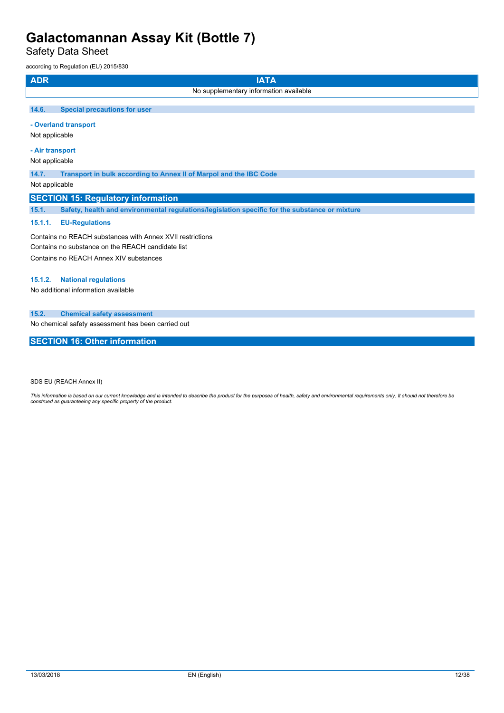Safety Data Sheet

according to Regulation (EU) 2015/830

| <b>ADR</b>                                                                                                     | <b>IATA</b>                                                                                    |  |
|----------------------------------------------------------------------------------------------------------------|------------------------------------------------------------------------------------------------|--|
|                                                                                                                | No supplementary information available                                                         |  |
| 14.6.                                                                                                          | <b>Special precautions for user</b>                                                            |  |
| Not applicable                                                                                                 | - Overland transport                                                                           |  |
| - Air transport<br>Not applicable                                                                              |                                                                                                |  |
| 14.7.                                                                                                          | Transport in bulk according to Annex II of Marpol and the IBC Code                             |  |
| Not applicable                                                                                                 |                                                                                                |  |
| <b>SECTION 15: Regulatory information</b>                                                                      |                                                                                                |  |
| 15.1.                                                                                                          | Safety, health and environmental regulations/legislation specific for the substance or mixture |  |
| 15.1.1.                                                                                                        | <b>EU-Regulations</b>                                                                          |  |
| Contains no REACH substances with Annex XVII restrictions<br>Contains no substance on the REACH candidate list |                                                                                                |  |

Contains no REACH Annex XIV substances

### **15.1.2. National regulations**

No additional information available

### **15.2. Chemical safety assessment**

No chemical safety assessment has been carried out

### **SECTION 16: Other information**

SDS EU (REACH Annex II)

This information is based on our current knowledge and is intended to describe the product for the purposes of health, safety and environmental requirements only. It should not therefore be<br>construed as guaranteeing any sp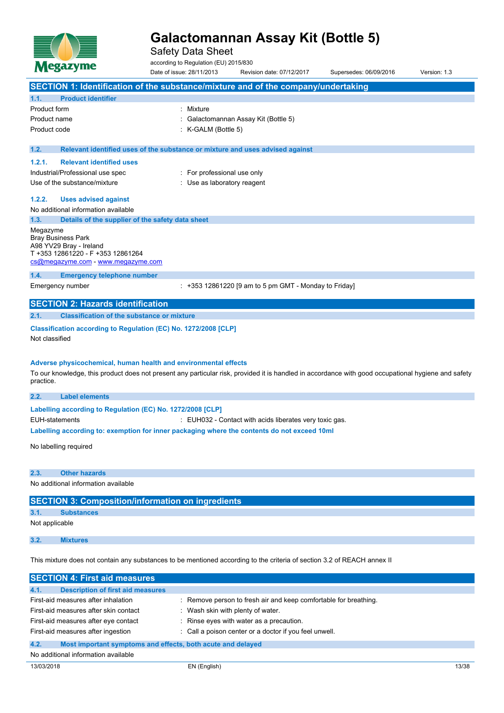

Safety Data Sheet

according to Regulation (EU) 2015/830

Date of issue: 28/11/2013 Revision date: 07/12/2017 Supersedes: 06/09/2016 Version: 1.3 **SECTION 1: Identification of the substance/mixture and of the company/undertaking 1.1. Product identifier** Product form : Nixture Product name : Galactomannan Assay Kit (Bottle 5) Product code : K-GALM (Bottle 5) **1.2. Relevant identified uses of the substance or mixture and uses advised against 1.2.1. Relevant identified uses** Industrial/Professional use spec : For professional use only Use of the substance/mixture in the substance/mixture in the substance of the substance of the substance of the substance of the substance of the substance of the substance of the substance of the substance of the substanc **1.2.2. Uses advised against** No additional information available **1.3. Details of the supplier of the safety data sheet** Megazyme Bray Business Park A98 YV29 Bray - Ireland T +353 12861220 - F +353 12861264 [cs@megazyme.com](mailto:cs@megazyme.com) - <www.megazyme.com> **1.4. Emergency telephone number** Emergency number : +353 12861220 [9 am to 5 pm GMT - Monday to Friday] **SECTION 2: Hazards identification 2.1. Classification of the substance or mixture Classification according to Regulation (EC) No. 1272/2008 [CLP]** Not classified **Adverse physicochemical, human health and environmental effects** To our knowledge, this product does not present any particular risk, provided it is handled in accordance with good occupational hygiene and safety practice. **2.2. Label elements Labelling** according to Regulation (EC) No. 1272/2008 [CLP] EUH-statements : EUH032 - Contact with acids liberates very toxic gas. **Labelling according to: exemption for inner packaging where the contents do not exceed 10ml** No labelling required **2.3. Other hazards** No additional information available **SECTION 3: Composition/information on ingredients 3.1. Substances** Not applicable

**3.2. Mixtures**

This mixture does not contain any substances to be mentioned according to the criteria of section 3.2 of REACH annex II

| <b>SECTION 4: First aid measures</b>                                |                                                                  |  |
|---------------------------------------------------------------------|------------------------------------------------------------------|--|
| 4.1.<br><b>Description of first aid measures</b>                    |                                                                  |  |
| First-aid measures after inhalation                                 | : Remove person to fresh air and keep comfortable for breathing. |  |
| First-aid measures after skin contact                               | Wash skin with plenty of water.                                  |  |
| First-aid measures after eye contact                                | : Rinse eyes with water as a precaution.                         |  |
| First-aid measures after ingestion                                  | : Call a poison center or a doctor if you feel unwell.           |  |
| 4.2.<br>Most important symptoms and effects, both acute and delayed |                                                                  |  |
| No additional information available                                 |                                                                  |  |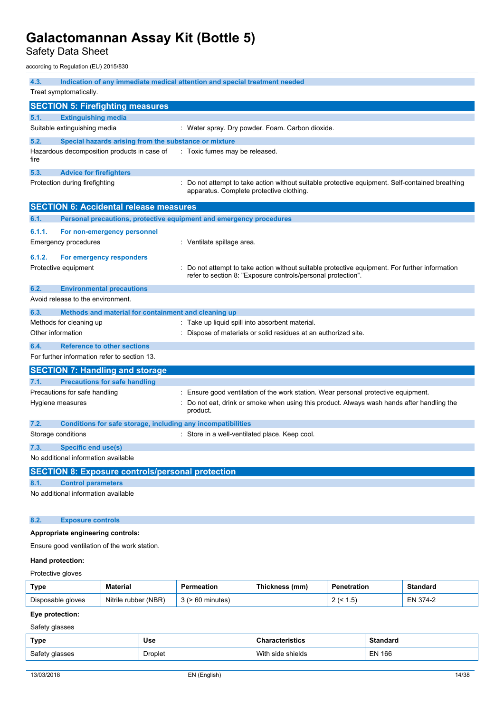Safety Data Sheet

according to Regulation (EU) 2015/830

| 4.3.                                         | Indication of any immediate medical attention and special treatment needed |                                                                                                                                                                                |  |  |
|----------------------------------------------|----------------------------------------------------------------------------|--------------------------------------------------------------------------------------------------------------------------------------------------------------------------------|--|--|
| Treat symptomatically.                       |                                                                            |                                                                                                                                                                                |  |  |
|                                              | <b>SECTION 5: Firefighting measures</b>                                    |                                                                                                                                                                                |  |  |
| 5.1.                                         | <b>Extinguishing media</b>                                                 |                                                                                                                                                                                |  |  |
|                                              | Suitable extinguishing media                                               | : Water spray. Dry powder. Foam. Carbon dioxide.                                                                                                                               |  |  |
| 5.2.                                         | Special hazards arising from the substance or mixture                      |                                                                                                                                                                                |  |  |
| fire                                         | Hazardous decomposition products in case of                                | : Toxic fumes may be released.                                                                                                                                                 |  |  |
| 5.3.                                         | <b>Advice for firefighters</b>                                             |                                                                                                                                                                                |  |  |
|                                              | Protection during firefighting                                             | Do not attempt to take action without suitable protective equipment. Self-contained breathing<br>apparatus. Complete protective clothing.                                      |  |  |
|                                              | <b>SECTION 6: Accidental release measures</b>                              |                                                                                                                                                                                |  |  |
| 6.1.                                         | Personal precautions, protective equipment and emergency procedures        |                                                                                                                                                                                |  |  |
| 6.1.1.                                       | For non-emergency personnel                                                |                                                                                                                                                                                |  |  |
|                                              | <b>Emergency procedures</b>                                                | : Ventilate spillage area.                                                                                                                                                     |  |  |
| 6.1.2.                                       | For emergency responders                                                   |                                                                                                                                                                                |  |  |
|                                              | Protective equipment                                                       | Do not attempt to take action without suitable protective equipment. For further information<br>refer to section 8: "Exposure controls/personal protection".                   |  |  |
| 6.2.                                         | <b>Environmental precautions</b>                                           |                                                                                                                                                                                |  |  |
|                                              | Avoid release to the environment.                                          |                                                                                                                                                                                |  |  |
| 6.3.                                         | Methods and material for containment and cleaning up                       |                                                                                                                                                                                |  |  |
|                                              | Methods for cleaning up                                                    | Take up liquid spill into absorbent material.                                                                                                                                  |  |  |
| Other information                            |                                                                            | Dispose of materials or solid residues at an authorized site.                                                                                                                  |  |  |
| 6.4.                                         | <b>Reference to other sections</b>                                         |                                                                                                                                                                                |  |  |
|                                              | For further information refer to section 13.                               |                                                                                                                                                                                |  |  |
|                                              | <b>SECTION 7: Handling and storage</b>                                     |                                                                                                                                                                                |  |  |
| 7.1.                                         | <b>Precautions for safe handling</b>                                       |                                                                                                                                                                                |  |  |
|                                              | Precautions for safe handling<br>Hygiene measures                          | : Ensure good ventilation of the work station. Wear personal protective equipment.<br>Do not eat, drink or smoke when using this product. Always wash hands after handling the |  |  |
|                                              |                                                                            | product.                                                                                                                                                                       |  |  |
| 7.2.                                         | Conditions for safe storage, including any incompatibilities               |                                                                                                                                                                                |  |  |
| Storage conditions                           |                                                                            | : Store in a well-ventilated place. Keep cool.                                                                                                                                 |  |  |
| 7.3.                                         | Specific end use(s)                                                        |                                                                                                                                                                                |  |  |
|                                              | No additional information available                                        |                                                                                                                                                                                |  |  |
|                                              | <b>SECTION 8: Exposure controls/personal protection</b>                    |                                                                                                                                                                                |  |  |
| 8.1.                                         | <b>Control parameters</b>                                                  |                                                                                                                                                                                |  |  |
|                                              | No additional information available                                        |                                                                                                                                                                                |  |  |
| 8.2.                                         | <b>Exposure controls</b>                                                   |                                                                                                                                                                                |  |  |
|                                              | Appropriate engineering controls:                                          |                                                                                                                                                                                |  |  |
| Ensure good ventilation of the work station. |                                                                            |                                                                                                                                                                                |  |  |
| Hand protection:                             |                                                                            |                                                                                                                                                                                |  |  |

### Protective gloves

| Type              | Material                | Permeation | Thickness (mm) | Penetration      | Standard     |
|-------------------|-------------------------|------------|----------------|------------------|--------------|
| Disposable gloves | (NBR)<br>Nitrile rubber | minutes    |                | . .5<br><u>_</u> | – N<br>$4-1$ |

### **Eye protection:**

Safety glasses

| Type           | Use     | racterístics      | Standard      |
|----------------|---------|-------------------|---------------|
| Safety glasses | Droplet | With side shields | <b>EN 166</b> |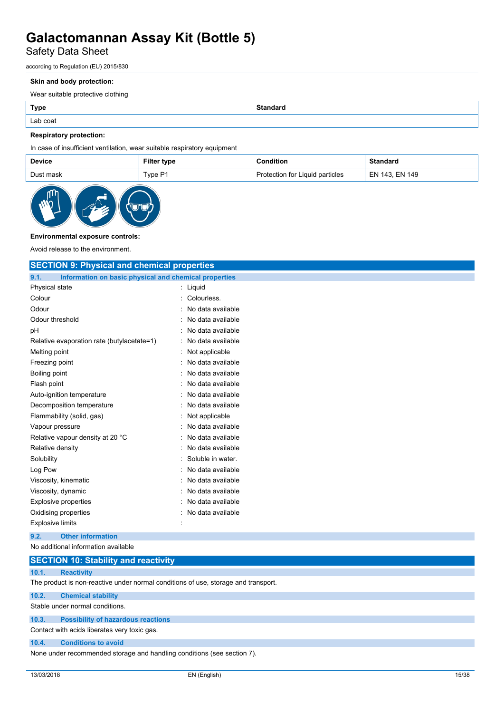## Safety Data Sheet

according to Regulation (EU) 2015/830

#### **Skin and body protection:**

Wear suitable protective clothing

| Lab coat |  |
|----------|--|

#### **Respiratory protection:**

In case of insufficient ventilation, wear suitable respiratory equipment

| <b>Device</b> | Filter type | Condition                       | <b>Standard</b> |
|---------------|-------------|---------------------------------|-----------------|
| Dust mask     | Type P1     | Protection for Liquid particles | EN 143. EN 149  |



#### **Environmental exposure controls:**

Avoid release to the environment.

| <b>SECTION 9: Physical and chemical properties</b>            |                     |  |
|---------------------------------------------------------------|---------------------|--|
| Information on basic physical and chemical properties<br>9.1. |                     |  |
| Physical state                                                | : Liquid            |  |
| Colour                                                        | Colourless.         |  |
| Odour                                                         | No data available   |  |
| Odour threshold                                               | No data available   |  |
| pH                                                            | No data available   |  |
| Relative evaporation rate (butylacetate=1)                    | No data available   |  |
| Melting point                                                 | Not applicable      |  |
| Freezing point                                                | No data available   |  |
| Boiling point                                                 | No data available   |  |
| Flash point                                                   | No data available   |  |
| Auto-ignition temperature                                     | No data available   |  |
| Decomposition temperature                                     | No data available   |  |
| Flammability (solid, gas)                                     | : Not applicable    |  |
| Vapour pressure                                               | No data available   |  |
| Relative vapour density at 20 °C                              | No data available   |  |
| Relative density                                              | No data available   |  |
| Solubility                                                    | Soluble in water.   |  |
| Log Pow                                                       | No data available   |  |
| Viscosity, kinematic                                          | No data available   |  |
| Viscosity, dynamic                                            | No data available   |  |
| <b>Explosive properties</b>                                   | No data available   |  |
| Oxidising properties                                          | : No data available |  |
| <b>Explosive limits</b>                                       |                     |  |
| <b>Other information</b><br>9.2.                              |                     |  |
| No additional information available                           |                     |  |

|       | <b>SECTION 10: Stability and reactivity</b>                                        |
|-------|------------------------------------------------------------------------------------|
| 10.1. | <b>Reactivity</b>                                                                  |
|       | The product is non-reactive under normal conditions of use, storage and transport. |
| 10.2. | <b>Chemical stability</b>                                                          |
|       | Stable under normal conditions.                                                    |
| 10.3. | <b>Possibility of hazardous reactions</b>                                          |

Contact with acids liberates very toxic gas.

#### **10.4. Conditions to avoid**

None under recommended storage and handling conditions (see section 7).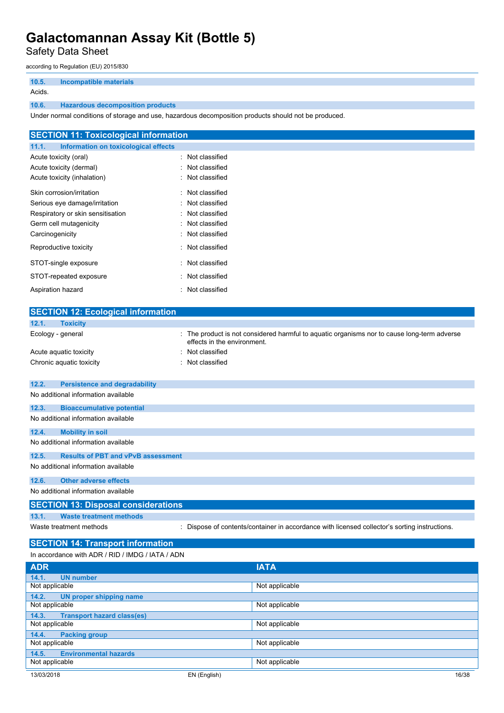Safety Data Sheet

according to Regulation (EU) 2015/830

| 10.5.  | <b>Incompatible materials</b>           |
|--------|-----------------------------------------|
| Acids. |                                         |
| 10.6.  | <b>Hazardous decomposition products</b> |

Under normal conditions of storage and use, hazardous decomposition products should not be produced.

|                                   | <b>SECTION 11: Toxicological information</b> |                  |
|-----------------------------------|----------------------------------------------|------------------|
| 11.1.                             | Information on toxicological effects         |                  |
| Acute toxicity (oral)             |                                              | : Not classified |
| Acute toxicity (dermal)           |                                              | : Not classified |
| Acute toxicity (inhalation)       |                                              | : Not classified |
| Skin corrosion/irritation         |                                              | : Not classified |
| Serious eye damage/irritation     |                                              | : Not classified |
| Respiratory or skin sensitisation |                                              | : Not classified |
| Germ cell mutagenicity            |                                              | : Not classified |
| Carcinogenicity                   |                                              | : Not classified |
| Reproductive toxicity             |                                              | : Not classified |
| STOT-single exposure              |                                              | : Not classified |
| STOT-repeated exposure            |                                              | : Not classified |
| Aspiration hazard                 |                                              | : Not classified |

|                | <b>SECTION 12: Ecological information</b>        |                             |                                                                                               |
|----------------|--------------------------------------------------|-----------------------------|-----------------------------------------------------------------------------------------------|
| 12.1.          | <b>Toxicity</b>                                  |                             |                                                                                               |
|                | Ecology - general                                | effects in the environment. | The product is not considered harmful to aquatic organisms nor to cause long-term adverse     |
|                | Acute aquatic toxicity                           | Not classified              |                                                                                               |
|                | Chronic aquatic toxicity                         | Not classified              |                                                                                               |
| 12.2.          | <b>Persistence and degradability</b>             |                             |                                                                                               |
|                | No additional information available              |                             |                                                                                               |
| 12.3.          | <b>Bioaccumulative potential</b>                 |                             |                                                                                               |
|                | No additional information available              |                             |                                                                                               |
| 12.4.          | <b>Mobility in soil</b>                          |                             |                                                                                               |
|                | No additional information available              |                             |                                                                                               |
| 12.5.          | <b>Results of PBT and vPvB assessment</b>        |                             |                                                                                               |
|                | No additional information available              |                             |                                                                                               |
| 12.6.          | <b>Other adverse effects</b>                     |                             |                                                                                               |
|                | No additional information available              |                             |                                                                                               |
|                | <b>SECTION 13: Disposal considerations</b>       |                             |                                                                                               |
| 13.1.          | <b>Waste treatment methods</b>                   |                             |                                                                                               |
|                | Waste treatment methods                          |                             | : Dispose of contents/container in accordance with licensed collector's sorting instructions. |
|                | <b>SECTION 14: Transport information</b>         |                             |                                                                                               |
|                | In accordance with ADR / RID / IMDG / IATA / ADN |                             |                                                                                               |
| <b>ADR</b>     |                                                  |                             | <b>IATA</b>                                                                                   |
| 14.1.          | <b>UN number</b>                                 |                             |                                                                                               |
| Not applicable |                                                  |                             | Not applicable                                                                                |
| 14.2.          | <b>UN proper shipping name</b>                   |                             |                                                                                               |
| Not applicable |                                                  |                             | Not applicable                                                                                |
| 14.3.          | <b>Transport hazard class(es)</b>                |                             |                                                                                               |
| Not applicable |                                                  |                             | Not applicable                                                                                |

Not applicable

Not applicable

**14.4. Packing group**

**14.5. Environmental hazards**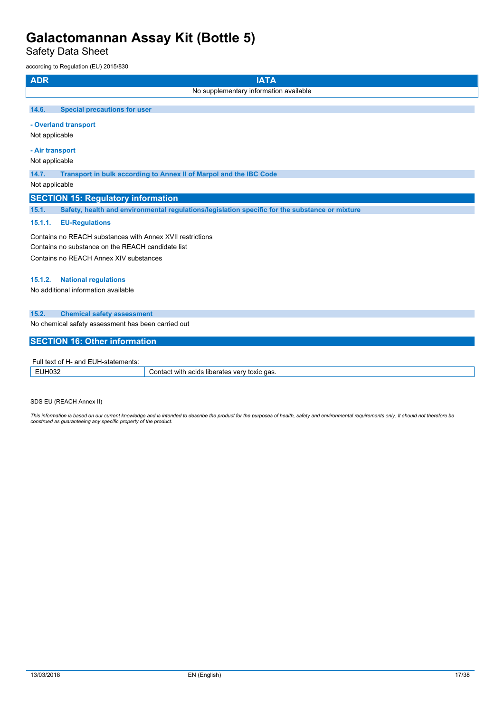Safety Data Sheet

according to Regulation (EU) 2015/830

| <b>ADR</b>                                                | <b>IATA</b>                                                                                    |  |  |  |
|-----------------------------------------------------------|------------------------------------------------------------------------------------------------|--|--|--|
|                                                           | No supplementary information available                                                         |  |  |  |
|                                                           |                                                                                                |  |  |  |
| 14.6.<br><b>Special precautions for user</b>              |                                                                                                |  |  |  |
| - Overland transport                                      |                                                                                                |  |  |  |
| Not applicable                                            |                                                                                                |  |  |  |
| - Air transport                                           |                                                                                                |  |  |  |
| Not applicable                                            |                                                                                                |  |  |  |
| 14.7.                                                     | Transport in bulk according to Annex II of Marpol and the IBC Code                             |  |  |  |
| Not applicable                                            |                                                                                                |  |  |  |
|                                                           |                                                                                                |  |  |  |
| <b>SECTION 15: Regulatory information</b>                 |                                                                                                |  |  |  |
| 15.1.                                                     | Safety, health and environmental regulations/legislation specific for the substance or mixture |  |  |  |
| 15.1.1.<br><b>EU-Regulations</b>                          |                                                                                                |  |  |  |
| Contains no REACH substances with Annex XVII restrictions |                                                                                                |  |  |  |
| Contains no substance on the REACH candidate list         |                                                                                                |  |  |  |
| Contains no REACH Annex XIV substances                    |                                                                                                |  |  |  |
|                                                           |                                                                                                |  |  |  |
| <b>National regulations</b><br>15.1.2.                    |                                                                                                |  |  |  |
| No additional information available                       |                                                                                                |  |  |  |
|                                                           |                                                                                                |  |  |  |
| 15.2.<br><b>Chemical safety assessment</b>                |                                                                                                |  |  |  |
| No chemical safety assessment has been carried out        |                                                                                                |  |  |  |
| <b>SECTION 16: Other information</b>                      |                                                                                                |  |  |  |
|                                                           |                                                                                                |  |  |  |
| Full text of H- and EUH-statements:                       |                                                                                                |  |  |  |
| <b>EUH032</b>                                             | Contact with acids liberates very toxic gas.                                                   |  |  |  |

| .<br>.<br>.<br>-91-3190-1191 |                                                           |  |  |  |  |
|------------------------------|-----------------------------------------------------------|--|--|--|--|
|                              | liberates<br>aas<br>with<br>۱/۵۱<br>toxic<br>acids<br>nn. |  |  |  |  |
|                              |                                                           |  |  |  |  |

SDS EU (REACH Annex II)

This information is based on our current knowledge and is intended to describe the product for the purposes of health, safety and environmental requirements only. It should not therefore be<br>construed as guaranteeing any sp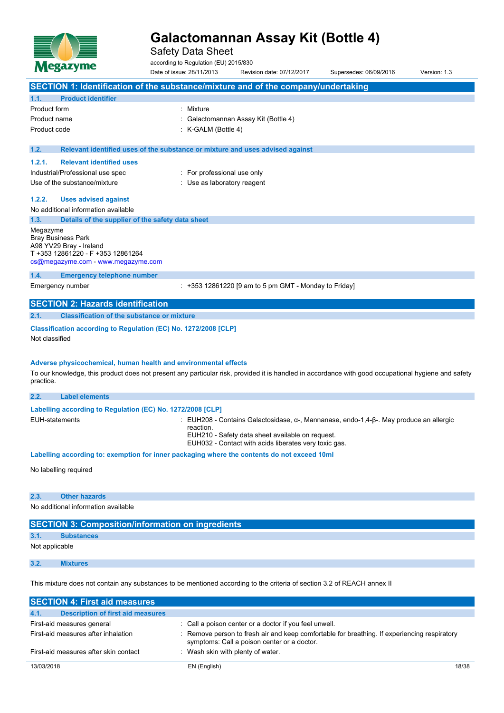

Safety Data Sheet

according to Regulation (EU) 2015/830

Date of issue: 28/11/2013 Revision date: 07/12/2017 Supersedes: 06/09/2016 Version: 1.3 **SECTION 1: Identification of the substance/mixture and of the company/undertaking 1.1. Product identifier** Product form : Nixture Product name : Galactomannan Assay Kit (Bottle 4) Product code : K-GALM (Bottle 4) **1.2. Relevant identified uses of the substance or mixture and uses advised against 1.2.1. Relevant identified uses** Industrial/Professional use spec : For professional use only Use of the substance/mixture in the substance/mixture in the substance of the substance of the substance of the substance of the substance of the substance of the substance of the substance of the substance of the substanc **1.2.2. Uses advised against** No additional information available **1.3. Details of the supplier of the safety data sheet** Megazyme Bray Business Park A98 YV29 Bray - Ireland T +353 12861220 - F +353 12861264 [cs@megazyme.com](mailto:cs@megazyme.com) - <www.megazyme.com> **1.4. Emergency telephone number** Emergency number : +353 12861220 [9 am to 5 pm GMT - Monday to Friday] **SECTION 2: Hazards identification 2.1. Classification of the substance or mixture Classification according to Regulation (EC) No. 1272/2008 [CLP]** Not classified **Adverse physicochemical, human health and environmental effects**

To our knowledge, this product does not present any particular risk, provided it is handled in accordance with good occupational hygiene and safety practice.

| 2.2. | <b>Label elements</b>                                      |                                                                                                                    |
|------|------------------------------------------------------------|--------------------------------------------------------------------------------------------------------------------|
|      | Labelling according to Regulation (EC) No. 1272/2008 [CLP] |                                                                                                                    |
|      | EUH-statements                                             | : EUH208 - Contains Galactosidase, α-, Mannanase, endo-1,4-β-. May produce an allergic<br>reaction.                |
|      |                                                            | EUH210 - Safety data sheet available on request.                                                                   |
|      |                                                            | EUH032 - Contact with acids liberates very toxic gas.                                                              |
|      |                                                            | المرواة المممرية فمرمام وفروغ ومعاورة وسمران سوابوها ومعر ومعوارية ومقاومه ومدوره زمة ومزالوه وممرا المرام المحامر |

**Labelling according to: exemption for inner packaging where the contents do not exceed 10ml**

No labelling required

| 2.3. | <b>Other hazards</b> |
|------|----------------------|

No additional information available

### **SECTION 3: Composition/information on ingredients**

**3.1. Substances**

Not applicable

**3.2. Mixtures**

This mixture does not contain any substances to be mentioned according to the criteria of section 3.2 of REACH annex II

| <b>SECTION 4: First aid measures</b>             |                                                                                                                                             |       |  |  |  |
|--------------------------------------------------|---------------------------------------------------------------------------------------------------------------------------------------------|-------|--|--|--|
| 4.1.<br><b>Description of first aid measures</b> |                                                                                                                                             |       |  |  |  |
| First-aid measures general                       | : Call a poison center or a doctor if you feel unwell.                                                                                      |       |  |  |  |
| First-aid measures after inhalation              | : Remove person to fresh air and keep comfortable for breathing. If experiencing respiratory<br>symptoms: Call a poison center or a doctor. |       |  |  |  |
| First-aid measures after skin contact            | : Wash skin with plenty of water.                                                                                                           |       |  |  |  |
| 13/03/2018                                       | EN (English)                                                                                                                                | 18/38 |  |  |  |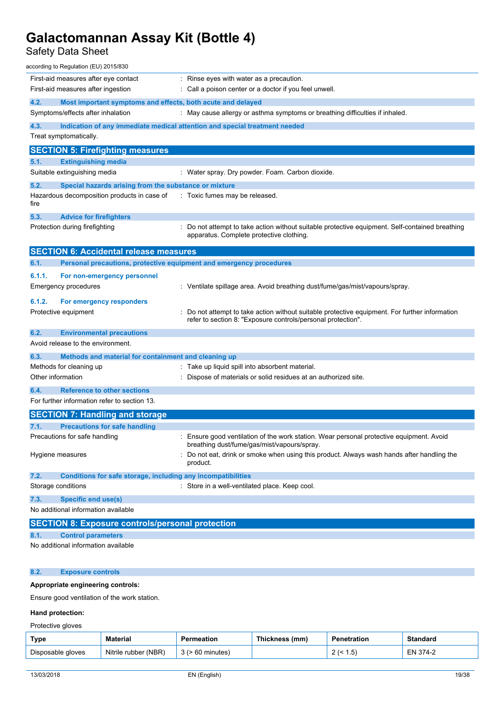## Safety Data Sheet

| according to Regulation (EU) 2015/830                                       |                                                                                                                                                              |
|-----------------------------------------------------------------------------|--------------------------------------------------------------------------------------------------------------------------------------------------------------|
| First-aid measures after eye contact                                        | $\therefore$ Rinse eyes with water as a precaution.                                                                                                          |
| First-aid measures after ingestion                                          | : Call a poison center or a doctor if you feel unwell.                                                                                                       |
| 4.2.<br>Most important symptoms and effects, both acute and delayed         |                                                                                                                                                              |
| Symptoms/effects after inhalation                                           | : May cause allergy or asthma symptoms or breathing difficulties if inhaled.                                                                                 |
| 4.3.                                                                        | Indication of any immediate medical attention and special treatment needed                                                                                   |
| Treat symptomatically.                                                      |                                                                                                                                                              |
| <b>SECTION 5: Firefighting measures</b>                                     |                                                                                                                                                              |
| <b>Extinguishing media</b><br>5.1.                                          |                                                                                                                                                              |
| Suitable extinguishing media                                                | : Water spray. Dry powder. Foam. Carbon dioxide.                                                                                                             |
| 5.2.<br>Special hazards arising from the substance or mixture               |                                                                                                                                                              |
| Hazardous decomposition products in case of<br>fire                         | : Toxic fumes may be released.                                                                                                                               |
| 5.3.<br><b>Advice for firefighters</b>                                      |                                                                                                                                                              |
| Protection during firefighting                                              | : Do not attempt to take action without suitable protective equipment. Self-contained breathing<br>apparatus. Complete protective clothing.                  |
| <b>SECTION 6: Accidental release measures</b>                               |                                                                                                                                                              |
| Personal precautions, protective equipment and emergency procedures<br>6.1. |                                                                                                                                                              |
| 6.1.1.<br>For non-emergency personnel                                       |                                                                                                                                                              |
| Emergency procedures                                                        | : Ventilate spillage area. Avoid breathing dust/fume/gas/mist/vapours/spray.                                                                                 |
| 6.1.2.<br>For emergency responders                                          |                                                                                                                                                              |
| Protective equipment                                                        | Do not attempt to take action without suitable protective equipment. For further information<br>refer to section 8: "Exposure controls/personal protection". |
| 6.2.<br><b>Environmental precautions</b>                                    |                                                                                                                                                              |
| Avoid release to the environment.                                           |                                                                                                                                                              |
| 6.3.<br>Methods and material for containment and cleaning up                |                                                                                                                                                              |
| Methods for cleaning up                                                     | : Take up liquid spill into absorbent material.                                                                                                              |
| Other information                                                           | Dispose of materials or solid residues at an authorized site.                                                                                                |
| <b>Reference to other sections</b><br>6.4.                                  |                                                                                                                                                              |
| For further information refer to section 13.                                |                                                                                                                                                              |
| <b>SECTION 7: Handling and storage</b>                                      |                                                                                                                                                              |
| <b>Precautions for safe handling</b><br>7.1.                                |                                                                                                                                                              |
| Precautions for safe handling                                               | : Ensure good ventilation of the work station. Wear personal protective equipment. Avoid<br>breathing dust/fume/gas/mist/vapours/spray.                      |
| Hygiene measures                                                            | Do not eat, drink or smoke when using this product. Always wash hands after handling the<br>product.                                                         |
| 7.2.<br>Conditions for safe storage, including any incompatibilities        |                                                                                                                                                              |
| Storage conditions                                                          | : Store in a well-ventilated place. Keep cool.                                                                                                               |
| 7.3.<br><b>Specific end use(s)</b>                                          |                                                                                                                                                              |
| No additional information available                                         |                                                                                                                                                              |
| <b>SECTION 8: Exposure controls/personal protection</b>                     |                                                                                                                                                              |
| <b>Control parameters</b><br>8.1.                                           |                                                                                                                                                              |
| No additional information available                                         |                                                                                                                                                              |
|                                                                             |                                                                                                                                                              |

### **8.2. Exposure controls**

#### **Appropriate engineering controls:**

Ensure good ventilation of the work station.

#### **Hand protection:**

#### Protective gloves

| <b>Type</b>       | <b>Material</b>      | Permeation    | <b>Thickness</b><br>(mm) | Penetration | <b>Standard</b> |
|-------------------|----------------------|---------------|--------------------------|-------------|-----------------|
| Disposable gloves | Nitrile rubber (NBR) | · 60 minutes) |                          | י כ…<br>-   | EN 374-2        |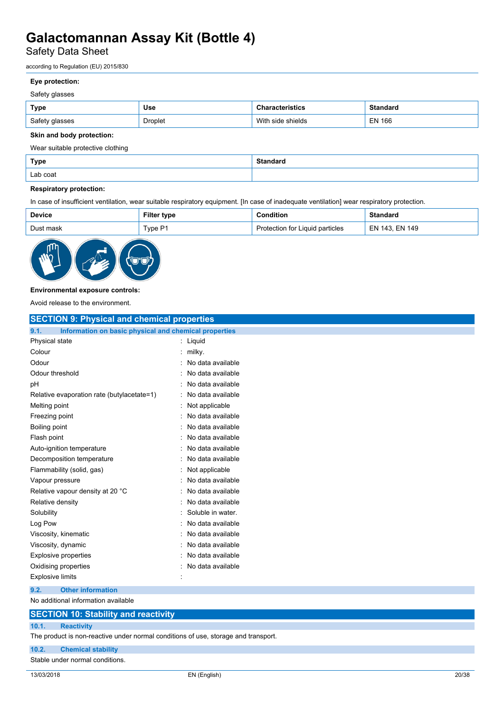Safety Data Sheet

according to Regulation (EU) 2015/830

### **Eye protection:**

#### Safety glasses

| Type           | <b>Use</b> | haracteristics:      | <b>Standard</b> |
|----------------|------------|----------------------|-----------------|
| Safety glasses | Droplet    | side shields<br>With | <b>EN 166</b>   |

#### **Skin and body protection:**

Wear suitable protective clothing

| <b>Type</b> | $C^{t}$<br>. |
|-------------|--------------|
| Lab coat    |              |

#### **Respiratory protection:**

In case of insufficient ventilation, wear suitable respiratory equipment. [In case of inadequate ventilation] wear respiratory protection.

| <b>Device</b> | Filter type | <b>Condition</b>                | <b>Standard</b> |
|---------------|-------------|---------------------------------|-----------------|
| Dust mask     | Type P1     | Protection for Liquid particles | EN 143, EN 149  |



#### **Environmental exposure controls:**

Avoid release to the environment.

| <b>SECTION 9: Physical and chemical properties</b>            |                   |  |
|---------------------------------------------------------------|-------------------|--|
| Information on basic physical and chemical properties<br>9.1. |                   |  |
| Physical state                                                | : Liquid          |  |
| Colour                                                        | milky.            |  |
| Odour                                                         | No data available |  |
| Odour threshold                                               | No data available |  |
| pH                                                            | No data available |  |
| Relative evaporation rate (butylacetate=1)                    | No data available |  |
| Melting point                                                 | Not applicable    |  |
| Freezing point                                                | No data available |  |
| Boiling point                                                 | No data available |  |
| Flash point                                                   | No data available |  |
| Auto-ignition temperature                                     | No data available |  |
| Decomposition temperature                                     | No data available |  |
| Flammability (solid, gas)                                     | Not applicable    |  |
| Vapour pressure                                               | No data available |  |
| Relative vapour density at 20 °C                              | No data available |  |
| Relative density                                              | No data available |  |
| Solubility                                                    | Soluble in water. |  |
| Log Pow                                                       | No data available |  |
| Viscosity, kinematic                                          | No data available |  |
| Viscosity, dynamic                                            | No data available |  |
| Explosive properties                                          | No data available |  |
| Oxidising properties                                          | No data available |  |
| <b>Explosive limits</b>                                       |                   |  |
| <b>Other information</b><br>9.2.                              |                   |  |
| No additional information available                           |                   |  |

### **SECTION 10: Stability and reactivity 10.1. Reactivity**

The product is non-reactive under normal conditions of use, storage and transport.

**10.2. Chemical stability**

Stable under normal conditions.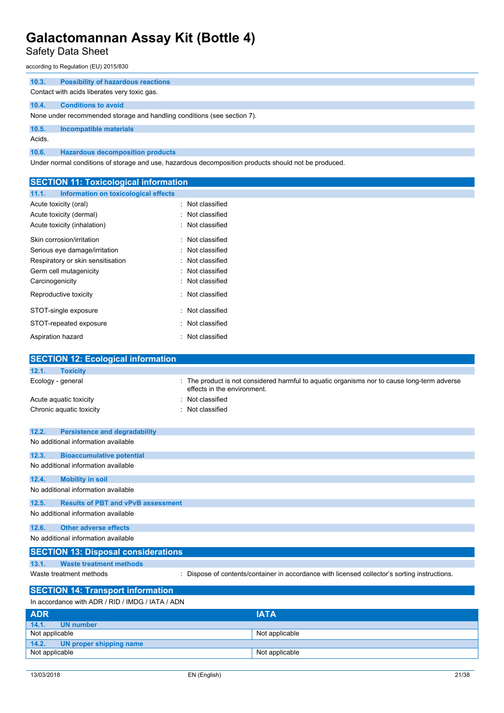Safety Data Sheet

according to Regulation (EU) 2015/830

| 10.3.  | <b>Possibility of hazardous reactions</b>                               |
|--------|-------------------------------------------------------------------------|
|        | Contact with acids liberates very toxic gas.                            |
| 10.4.  | <b>Conditions to avoid</b>                                              |
|        | None under recommended storage and handling conditions (see section 7). |
| 10.5.  | Incompatible materials                                                  |
| Acids. |                                                                         |
| 10.6.  | <b>Hazardous decomposition products</b>                                 |

Under normal conditions of storage and use, hazardous decomposition products should not be produced.

| <b>SECTION 11: Toxicological information</b>       |                                                                                               |  |
|----------------------------------------------------|-----------------------------------------------------------------------------------------------|--|
| 11.1.<br>Information on toxicological effects      |                                                                                               |  |
| Acute toxicity (oral)                              | Not classified                                                                                |  |
| Acute toxicity (dermal)                            | Not classified                                                                                |  |
| Acute toxicity (inhalation)                        | Not classified                                                                                |  |
| Skin corrosion/irritation                          | Not classified                                                                                |  |
| Serious eye damage/irritation                      | Not classified                                                                                |  |
| Respiratory or skin sensitisation                  | Not classified                                                                                |  |
| Germ cell mutagenicity                             | Not classified                                                                                |  |
| Carcinogenicity                                    | Not classified                                                                                |  |
| Reproductive toxicity                              | Not classified                                                                                |  |
| STOT-single exposure                               | Not classified                                                                                |  |
| STOT-repeated exposure                             | Not classified                                                                                |  |
| Aspiration hazard                                  | Not classified                                                                                |  |
| <b>SECTION 12: Ecological information</b>          |                                                                                               |  |
| 12.1.<br><b>Toxicity</b>                           |                                                                                               |  |
| Ecology - general                                  | The product is not considered harmful to aquatic organisms nor to cause long-term adverse     |  |
|                                                    | effects in the environment.                                                                   |  |
| Acute aquatic toxicity                             | Not classified                                                                                |  |
| Chronic aquatic toxicity                           | Not classified                                                                                |  |
| 12.2.<br><b>Persistence and degradability</b>      |                                                                                               |  |
| No additional information available                |                                                                                               |  |
| 12.3.<br><b>Bioaccumulative potential</b>          |                                                                                               |  |
| No additional information available                |                                                                                               |  |
| 12.4.<br><b>Mobility in soil</b>                   |                                                                                               |  |
| No additional information available                |                                                                                               |  |
| <b>Results of PBT and vPvB assessment</b><br>12.5. |                                                                                               |  |
| No additional information available                |                                                                                               |  |
| 12.6.<br><b>Other adverse effects</b>              |                                                                                               |  |
| No additional information available                |                                                                                               |  |
| <b>SECTION 13: Disposal considerations</b>         |                                                                                               |  |
| 13.1.<br><b>Waste treatment methods</b>            |                                                                                               |  |
| Waste treatment methods                            | : Dispose of contents/container in accordance with licensed collector's sorting instructions. |  |
| <b>SECTION 14: Transport information</b>           |                                                                                               |  |
| In accordance with ADR / RID / IMDG / IATA / ADN   |                                                                                               |  |
| <b>ADR</b>                                         | <b>IATA</b>                                                                                   |  |

| 14.1.<br>UN number            |                |
|-------------------------------|----------------|
| Not applicable                | Not applicable |
| 14.2. UN proper shipping name |                |
| Not applicable                | Not applicable |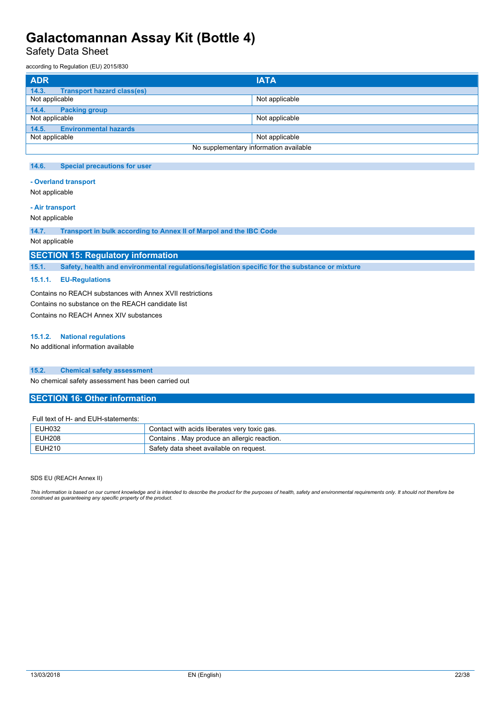Safety Data Sheet

according to Regulation (EU) 2015/830

| <b>ADR</b>                                 | <b>IATA</b>    |  |
|--------------------------------------------|----------------|--|
| 14.3.<br><b>Transport hazard class(es)</b> |                |  |
| Not applicable                             | Not applicable |  |
| 14.4.<br><b>Packing group</b>              |                |  |
| Not applicable                             | Not applicable |  |
| <b>Environmental hazards</b><br>14.5.      |                |  |
| Not applicable                             | Not applicable |  |
| No supplementary information available     |                |  |

#### **14.6. Special precautions for user**

#### **- Overland transport**

Not applicable

### **- Air transport**

Not applicable

**14.7. Transport in bulk according to Annex II of Marpol and the IBC Code**

Not applicable

### **SECTION 15: Regulatory information**

**15.1. Safety, health and environmental regulations/legislation specific for the substance or mixture**

#### **15.1.1. EU-Regulations**

Contains no REACH substances with Annex XVII restrictions Contains no substance on the REACH candidate list Contains no REACH Annex XIV substances

#### **15.1.2. National regulations**

No additional information available

#### **15.2. Chemical safety assessment**

No chemical safety assessment has been carried out

#### **SECTION 16: Other information**

#### Full text of H- and EUH-statements:

| EUH032        | Contact with acids liberates very toxic gas. |  |
|---------------|----------------------------------------------|--|
| <b>EUH208</b> | Contains . May produce an allergic reaction. |  |
| EUH210        | Safety data sheet available on request.      |  |

#### SDS EU (REACH Annex II)

This information is based on our current knowledge and is intended to describe the product for the purposes of health, safety and environmental requirements only. It should not therefore be *construed as guaranteeing any specific property of the product.*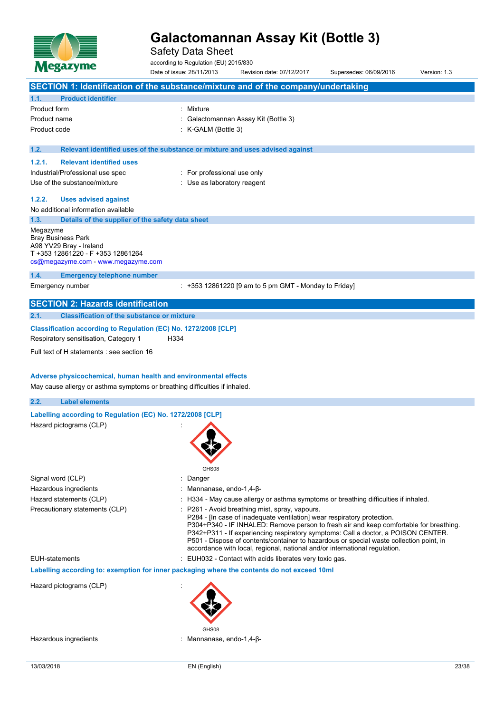

Safety Data Sheet

according to Regulation (EU) 2015/830

Date of issue: 28/11/2013 Revision date: 07/12/2017 Supersedes: 06/09/2016 Version: 1.3 **SECTION 1: Identification of the substance/mixture and of the company/undertaking 1.1. Product identifier** Product form : Nixture Product name : Galactomannan Assay Kit (Bottle 3) Product code : K-GALM (Bottle 3) **1.2. Relevant identified uses of the substance or mixture and uses advised against 1.2.1. Relevant identified uses** Industrial/Professional use spec : For professional use only Use of the substance/mixture in the substance/mixture in the substance of the substance of the substance of the substance of the substance of the substance of the substance of the substance of the substance of the substanc **1.2.2. Uses advised against** No additional information available **1.3. Details of the supplier of the safety data sheet** Megazyme Bray Business Park A98 YV29 Bray - Ireland T +353 12861220 - F +353 12861264 [cs@megazyme.com](mailto:cs@megazyme.com) - <www.megazyme.com> **1.4. Emergency telephone number** Emergency number : +353 12861220 [9 am to 5 pm GMT - Monday to Friday] **SECTION 2: Hazards identification 2.1. Classification of the substance or mixture Classification according to Regulation (EC) No. 1272/2008 [CLP]** Respiratory sensitisation, Category 1 H334 Full text of H statements : see section 16

#### **Adverse physicochemical, human health and environmental effects**

May cause allergy or asthma symptoms or breathing difficulties if inhaled.

### **2.2. Label elements**

### **Labelling according to Regulation** (EC) **No. 1272/2008** [CLP]

Hazard pictograms (CLP) :

|                                | <u>та на стр</u>                                                                                                                                                                                                                                                                                                                                                                                                                                                                  |
|--------------------------------|-----------------------------------------------------------------------------------------------------------------------------------------------------------------------------------------------------------------------------------------------------------------------------------------------------------------------------------------------------------------------------------------------------------------------------------------------------------------------------------|
|                                | GHS08                                                                                                                                                                                                                                                                                                                                                                                                                                                                             |
| Signal word (CLP)              | : Danger                                                                                                                                                                                                                                                                                                                                                                                                                                                                          |
| Hazardous ingredients          | Mannanase, endo-1,4- $\beta$ -                                                                                                                                                                                                                                                                                                                                                                                                                                                    |
| Hazard statements (CLP)        | : H334 - May cause allergy or asthma symptoms or breathing difficulties if inhaled.                                                                                                                                                                                                                                                                                                                                                                                               |
| Precautionary statements (CLP) | : P261 - Avoid breathing mist, spray, vapours.<br>P284 - [In case of inadequate ventilation] wear respiratory protection.<br>P304+P340 - IF INHALED: Remove person to fresh air and keep comfortable for breathing.<br>P342+P311 - If experiencing respiratory symptoms: Call a doctor, a POISON CENTER.<br>P501 - Dispose of contents/container to hazardous or special waste collection point, in<br>accordance with local, regional, national and/or international regulation. |
| <b>EUH-statements</b>          | : EUH032 - Contact with acids liberates very toxic gas.                                                                                                                                                                                                                                                                                                                                                                                                                           |
|                                | Labelling according to: exemption for inner packaging where the contents do not exceed 10ml                                                                                                                                                                                                                                                                                                                                                                                       |

Hazard pictograms (CLP) :



Hazardous ingredients : Mannanase, endo-1,4-β-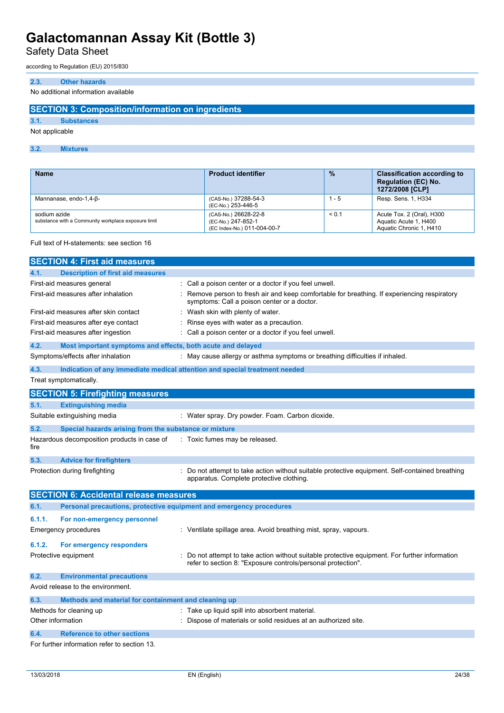Safety Data Sheet

according to Regulation (EU) 2015/830

#### **2.3. Other hazards**

No additional information available

### **SECTION 3: Composition/information on ingredients**

#### **3.1. Substances**

Not applicable

**3.2. Mixtures**

| <b>Name</b>                                                         | <b>Product identifier</b>                                                 | $\frac{0}{2}$ | <b>Classification according to</b><br><b>Regulation (EC) No.</b><br>1272/2008 [CLP] |
|---------------------------------------------------------------------|---------------------------------------------------------------------------|---------------|-------------------------------------------------------------------------------------|
| Mannanase, endo-1,4-B-                                              | (CAS-No.) 37288-54-3<br>(EC-No.) 253-446-5                                | - 5           | Resp. Sens. 1, H334                                                                 |
| sodium azide<br>substance with a Community workplace exposure limit | (CAS-No.) 26628-22-8<br>(EC-No.) 247-852-1<br>(EC Index-No.) 011-004-00-7 | < 0.1         | Acute Tox. 2 (Oral), H300<br>Aquatic Acute 1, H400<br>Aquatic Chronic 1, H410       |

#### Full text of H-statements: see section 16

|        | <b>SECTION 4: First aid measures</b>                                |                                                                                                                                                              |
|--------|---------------------------------------------------------------------|--------------------------------------------------------------------------------------------------------------------------------------------------------------|
| 4.1.   | <b>Description of first aid measures</b>                            |                                                                                                                                                              |
|        | First-aid measures general                                          | Call a poison center or a doctor if you feel unwell.                                                                                                         |
|        | First-aid measures after inhalation                                 | Remove person to fresh air and keep comfortable for breathing. If experiencing respiratory<br>symptoms: Call a poison center or a doctor.                    |
|        | First-aid measures after skin contact                               | Wash skin with plenty of water.                                                                                                                              |
|        | First-aid measures after eye contact                                | Rinse eyes with water as a precaution.                                                                                                                       |
|        | First-aid measures after ingestion                                  | Call a poison center or a doctor if you feel unwell.                                                                                                         |
| 4.2.   | Most important symptoms and effects, both acute and delayed         |                                                                                                                                                              |
|        | Symptoms/effects after inhalation                                   | : May cause allergy or asthma symptoms or breathing difficulties if inhaled.                                                                                 |
| 4.3.   |                                                                     | Indication of any immediate medical attention and special treatment needed                                                                                   |
|        | Treat symptomatically.                                              |                                                                                                                                                              |
|        | <b>SECTION 5: Firefighting measures</b>                             |                                                                                                                                                              |
| 5.1.   | <b>Extinguishing media</b>                                          |                                                                                                                                                              |
|        | Suitable extinguishing media                                        | : Water spray. Dry powder. Foam. Carbon dioxide.                                                                                                             |
| 5.2.   | Special hazards arising from the substance or mixture               |                                                                                                                                                              |
| fire   | Hazardous decomposition products in case of                         | : Toxic fumes may be released.                                                                                                                               |
| 5.3.   | <b>Advice for firefighters</b>                                      |                                                                                                                                                              |
|        | Protection during firefighting                                      | Do not attempt to take action without suitable protective equipment. Self-contained breathing<br>apparatus. Complete protective clothing.                    |
|        | <b>SECTION 6: Accidental release measures</b>                       |                                                                                                                                                              |
| 6.1.   | Personal precautions, protective equipment and emergency procedures |                                                                                                                                                              |
| 6.1.1. | For non-emergency personnel                                         |                                                                                                                                                              |
|        | <b>Emergency procedures</b>                                         | : Ventilate spillage area. Avoid breathing mist, spray, vapours.                                                                                             |
| 6.1.2. | For emergency responders                                            |                                                                                                                                                              |
|        | Protective equipment                                                | Do not attempt to take action without suitable protective equipment. For further information<br>refer to section 8: "Exposure controls/personal protection". |
| 6.2.   | <b>Environmental precautions</b>                                    |                                                                                                                                                              |
|        | Avoid release to the environment.                                   |                                                                                                                                                              |
| 6.3.   | Methods and material for containment and cleaning up                |                                                                                                                                                              |
|        | Methods for cleaning up                                             | : Take up liquid spill into absorbent material.                                                                                                              |
|        | Other information                                                   | Dispose of materials or solid residues at an authorized site.                                                                                                |
| 6.4.   | <b>Reference to other sections</b>                                  |                                                                                                                                                              |
|        | For further information refer to section 13.                        |                                                                                                                                                              |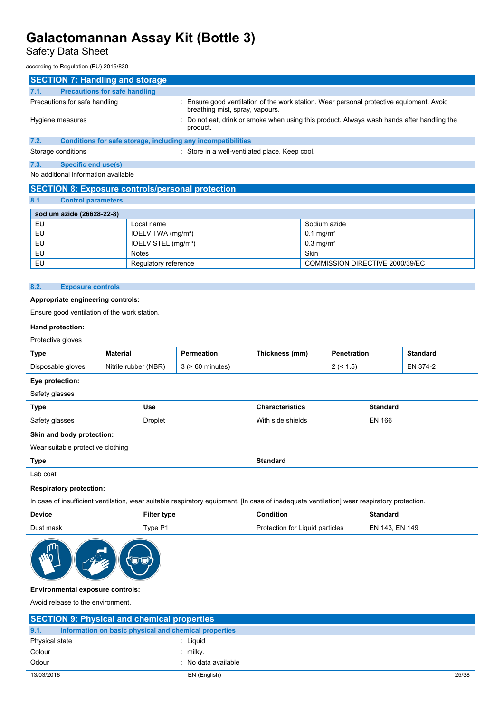## Safety Data Sheet

according to Regulation (EU) 2015/830

| <b>SECTION 7: Handling and storage</b>                               |                                                                                                                           |  |  |
|----------------------------------------------------------------------|---------------------------------------------------------------------------------------------------------------------------|--|--|
| <b>Precautions for safe handling</b><br>7.1.                         |                                                                                                                           |  |  |
| Precautions for safe handling                                        | Ensure good ventilation of the work station. Wear personal protective equipment. Avoid<br>breathing mist, spray, vapours. |  |  |
| Hygiene measures                                                     | : Do not eat, drink or smoke when using this product. Always wash hands after handling the<br>product.                    |  |  |
| 7.2.<br>Conditions for safe storage, including any incompatibilities |                                                                                                                           |  |  |
| Storage conditions                                                   | Store in a well-ventilated place. Keep cool.                                                                              |  |  |
| 7.3.<br>Specific end use(s)                                          |                                                                                                                           |  |  |
| No additional information available                                  |                                                                                                                           |  |  |

### **SECTION 8: Exposure controls/personal protection**

**8.1. Control parameters**

| $\mathbf{0.1}$ | <b>CONTROL DETAILS</b>    |                                 |                                 |  |  |
|----------------|---------------------------|---------------------------------|---------------------------------|--|--|
|                |                           |                                 |                                 |  |  |
|                | sodium azide (26628-22-8) |                                 |                                 |  |  |
| EU             |                           | Local name                      | Sodium azide                    |  |  |
| EU             |                           | IOELV TWA (mg/m <sup>3</sup> )  | $0.1 \,\mathrm{mq/m^3}$         |  |  |
| EU             |                           | IOELV STEL (mg/m <sup>3</sup> ) | $0.3 \text{ mg/m}^3$            |  |  |
| EU             |                           | <b>Notes</b>                    | Skin                            |  |  |
| EU             |                           | Regulatory reference            | COMMISSION DIRECTIVE 2000/39/EC |  |  |
|                |                           |                                 |                                 |  |  |

#### **8.2. Exposure controls**

#### **Appropriate engineering controls:**

Ensure good ventilation of the work station.

#### **Hand protection:**

### Protective gloves

| Type              | <b>Material</b>         | `eation. | ៈ (mm)<br>Thickness | ration                     | Standard |
|-------------------|-------------------------|----------|---------------------|----------------------------|----------|
| Disposable gloves | (MBR)<br>Nitrile rubber | าเnutes  |                     | $.5^{\circ}$<br>$\epsilon$ | ≂NL      |

#### **Eye protection:**

### Safety glasses

| Type           | <b>Use</b> | acteristics     | Standard      |
|----------------|------------|-----------------|---------------|
| Safety glasses | Droplet    | shields<br>side | <b>EN 166</b> |

#### **Skin and body protection:**

Wear suitable protective clothing

| <b>Type</b> | <b>Standard</b> |
|-------------|-----------------|
| Lab coat    |                 |

### **Respiratory protection:**

In case of insufficient ventilation, wear suitable respiratory equipment. [In case of inadequate ventilation] wear respiratory protection.

| <b>Device</b> | <b>Filter type</b> | .onditior                       | <b>Standard</b> |
|---------------|--------------------|---------------------------------|-----------------|
| Dust mask     | Tvpe P1            | Protection for Liquid particles | EN 143. EN 149  |



#### **Environmental exposure controls:**

Avoid release to the environment.

| <b>SECTION 9: Physical and chemical properties</b> |                                                       |       |
|----------------------------------------------------|-------------------------------------------------------|-------|
| 9.1.                                               | Information on basic physical and chemical properties |       |
| Physical state                                     | Liguid                                                |       |
| Colour                                             | $:$ milky.                                            |       |
| Odour                                              | : No data available                                   |       |
| 13/03/2018                                         | EN (English)                                          | 25/38 |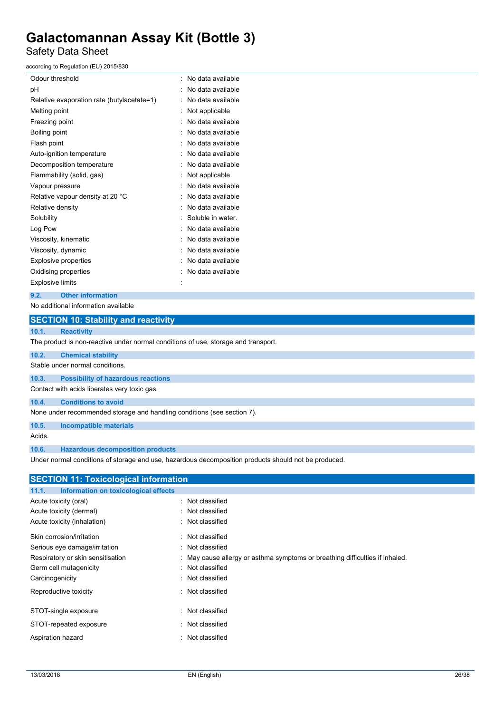Safety Data Sheet

according to Regulation (EU) 2015/830

| Odour threshold                            | No data available |
|--------------------------------------------|-------------------|
| рH                                         | No data available |
| Relative evaporation rate (butylacetate=1) | No data available |
| Melting point                              | Not applicable    |
| Freezing point                             | No data available |
| Boiling point                              | No data available |
| Flash point                                | No data available |
| Auto-ignition temperature                  | No data available |
| Decomposition temperature                  | No data available |
| Flammability (solid, gas)                  | Not applicable    |
| Vapour pressure                            | No data available |
| Relative vapour density at 20 °C           | No data available |
| Relative density                           | No data available |
| Solubility                                 | Soluble in water. |
| Log Pow                                    | No data available |
| Viscosity, kinematic                       | No data available |
| Viscosity, dynamic                         | No data available |
| Explosive properties                       | No data available |
| Oxidising properties                       | No data available |
| <b>Explosive limits</b>                    |                   |

#### **9.2. Other information**

No additional information available

|                                                                                    | <b>SECTION 10: Stability and reactivity</b>                             |  |  |  |  |
|------------------------------------------------------------------------------------|-------------------------------------------------------------------------|--|--|--|--|
| 10.1.                                                                              | <b>Reactivity</b>                                                       |  |  |  |  |
| The product is non-reactive under normal conditions of use, storage and transport. |                                                                         |  |  |  |  |
| 10.2.                                                                              | <b>Chemical stability</b>                                               |  |  |  |  |
| Stable under normal conditions.                                                    |                                                                         |  |  |  |  |
| 10.3.                                                                              | <b>Possibility of hazardous reactions</b>                               |  |  |  |  |
| Contact with acids liberates very toxic gas.                                       |                                                                         |  |  |  |  |
| 10.4.                                                                              | <b>Conditions to avoid</b>                                              |  |  |  |  |
|                                                                                    | None under recommended storage and handling conditions (see section 7). |  |  |  |  |
| 10.5.                                                                              | <b>Incompatible materials</b>                                           |  |  |  |  |

Acids.

**10.6. Hazardous decomposition products**

Under normal conditions of storage and use, hazardous decomposition products should not be produced.

| <b>SECTION 11: Toxicological information</b>  |                                                                              |
|-----------------------------------------------|------------------------------------------------------------------------------|
| Information on toxicological effects<br>11.1. |                                                                              |
| Acute toxicity (oral)                         | : Not classified                                                             |
| Acute toxicity (dermal)                       | : Not classified                                                             |
| Acute toxicity (inhalation)                   | : Not classified                                                             |
| Skin corrosion/irritation                     | : Not classified                                                             |
| Serious eye damage/irritation                 | : Not classified                                                             |
| Respiratory or skin sensitisation             | : May cause allergy or asthma symptoms or breathing difficulties if inhaled. |
| Germ cell mutagenicity                        | : Not classified                                                             |
| Carcinogenicity                               | : Not classified                                                             |
| Reproductive toxicity                         | : Not classified                                                             |
| STOT-single exposure                          | : Not classified                                                             |
| STOT-repeated exposure                        | : Not classified                                                             |
| Aspiration hazard                             | : Not classified                                                             |
|                                               |                                                                              |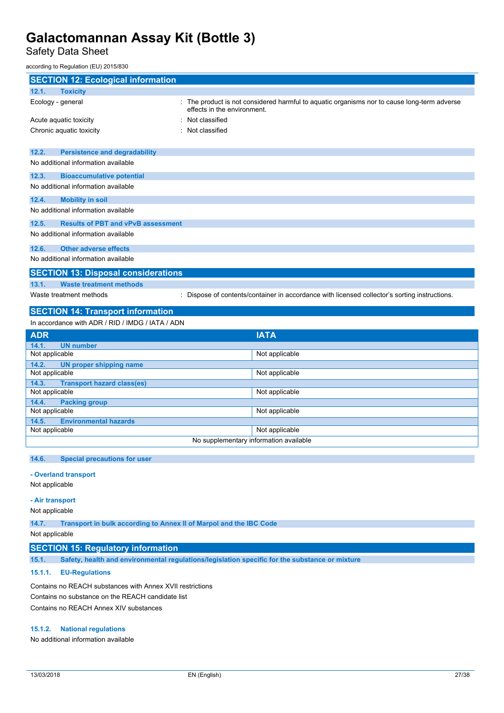Safety Data Sheet

according to Regulation (EU) 2015/830

| <b>SECTION 12: Ecological information</b>                 |                                                                                                                            |  |  |
|-----------------------------------------------------------|----------------------------------------------------------------------------------------------------------------------------|--|--|
| 12.1.<br><b>Toxicity</b>                                  |                                                                                                                            |  |  |
| Ecology - general                                         | : The product is not considered harmful to aquatic organisms nor to cause long-term adverse<br>effects in the environment. |  |  |
| Acute aquatic toxicity                                    | Not classified                                                                                                             |  |  |
| Chronic aquatic toxicity                                  | Not classified                                                                                                             |  |  |
|                                                           |                                                                                                                            |  |  |
| 12.2.<br><b>Persistence and degradability</b>             |                                                                                                                            |  |  |
| No additional information available                       |                                                                                                                            |  |  |
| 12.3.<br><b>Bioaccumulative potential</b>                 |                                                                                                                            |  |  |
| No additional information available                       |                                                                                                                            |  |  |
| 12.4.<br><b>Mobility in soil</b>                          |                                                                                                                            |  |  |
| No additional information available                       |                                                                                                                            |  |  |
| 12.5.<br><b>Results of PBT and vPvB assessment</b>        |                                                                                                                            |  |  |
| No additional information available                       |                                                                                                                            |  |  |
| 12.6.<br><b>Other adverse effects</b>                     |                                                                                                                            |  |  |
| No additional information available                       |                                                                                                                            |  |  |
| <b>SECTION 13: Disposal considerations</b>                |                                                                                                                            |  |  |
| 13.1.<br><b>Waste treatment methods</b>                   |                                                                                                                            |  |  |
| Waste treatment methods                                   | Dispose of contents/container in accordance with licensed collector's sorting instructions.                                |  |  |
|                                                           |                                                                                                                            |  |  |
| <b>SECTION 14: Transport information</b>                  |                                                                                                                            |  |  |
| In accordance with ADR / RID / IMDG / IATA / ADN          |                                                                                                                            |  |  |
| ADR                                                       | <b>IATA</b>                                                                                                                |  |  |
| 14.1.<br><b>UN number</b><br>Not applicable               | Not applicable                                                                                                             |  |  |
|                                                           |                                                                                                                            |  |  |
| 14.2.<br><b>UN proper shipping name</b><br>Not applicable | Not applicable                                                                                                             |  |  |
| 14.3.<br><b>Transport hazard class(es)</b>                |                                                                                                                            |  |  |
| Not applicable                                            | Not applicable                                                                                                             |  |  |
| 14.4.<br><b>Packing group</b>                             |                                                                                                                            |  |  |
| Not applicable                                            | Not applicable                                                                                                             |  |  |
| 14.5.<br><b>Environmental hazards</b>                     |                                                                                                                            |  |  |
| Not applicable                                            | Not applicable                                                                                                             |  |  |
|                                                           | No supplementary information available                                                                                     |  |  |
| <b>Special precautions for user</b><br>14.6.              |                                                                                                                            |  |  |
|                                                           |                                                                                                                            |  |  |
| - Overland transport<br>Not applicable                    |                                                                                                                            |  |  |
|                                                           |                                                                                                                            |  |  |

**- Air transport**

Not applicable

**14.7. Transport in bulk according to Annex II of Marpol and the IBC Code**

Not applicable

### **SECTION 15: Regulatory information**

**15.1. Safety, health and environmental regulations/legislation specific for the substance or mixture**

#### **15.1.1. EU-Regulations**

Contains no REACH substances with Annex XVII restrictions Contains no substance on the REACH candidate list Contains no REACH Annex XIV substances

#### **15.1.2. National regulations**

No additional information available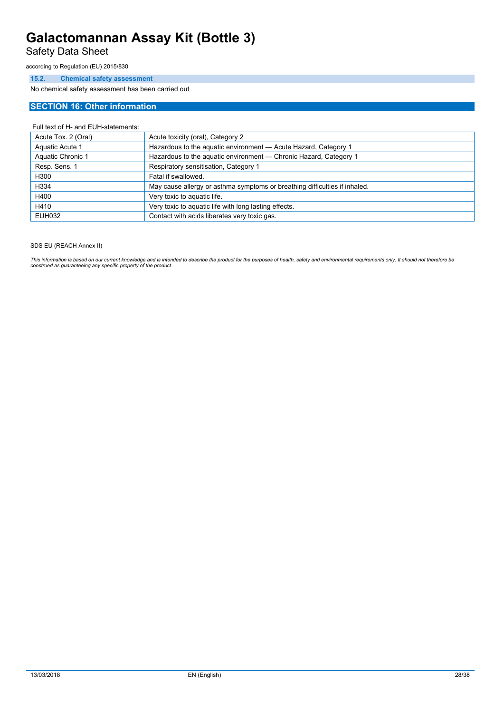Safety Data Sheet

according to Regulation (EU) 2015/830

#### **15.2. Chemical safety assessment**

No chemical safety assessment has been carried out

### **SECTION 16: Other information**

#### Full text of H- and EUH-statements:

| Acute Tox. 2 (Oral) | Acute toxicity (oral), Category 2                                          |
|---------------------|----------------------------------------------------------------------------|
| Aquatic Acute 1     | Hazardous to the aquatic environment - Acute Hazard, Category 1            |
| Aquatic Chronic 1   | Hazardous to the aquatic environment - Chronic Hazard, Category 1          |
| Resp. Sens. 1       | Respiratory sensitisation, Category 1                                      |
| H300                | Fatal if swallowed.                                                        |
| H334                | May cause allergy or asthma symptoms or breathing difficulties if inhaled. |
| H400                | Very toxic to aquatic life.                                                |
| H410                | Very toxic to aquatic life with long lasting effects.                      |
| <b>EUH032</b>       | Contact with acids liberates very toxic gas.                               |

#### SDS EU (REACH Annex II)

This information is based on our current knowledge and is intended to describe the product for the purposes of health, safety and environmental requirements only. It should not therefore be<br>construed as guaranteeing any sp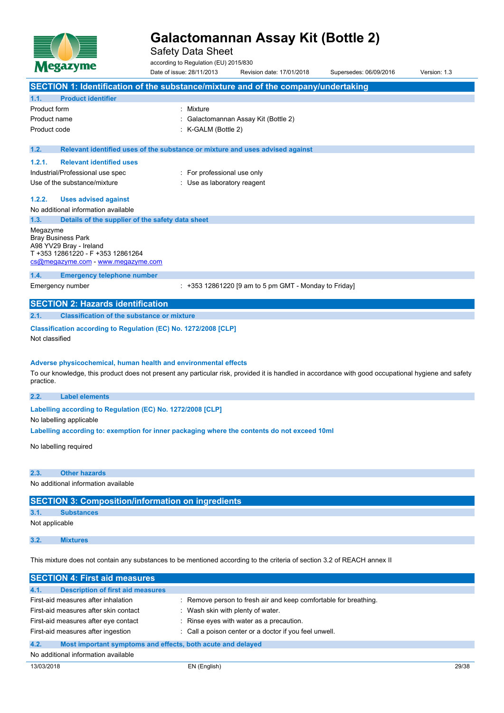

Safety Data Sheet

according to Regulation (EU) 2015/830

Date of issue: 28/11/2013 Revision date: 17/01/2018 Supersedes: 06/09/2016 Version: 1.3 **SECTION 1: Identification of the substance/mixture and of the company/undertaking 1.1. Product identifier** Product form : Nixture Product name : Galactomannan Assay Kit (Bottle 2) Product code : K-GALM (Bottle 2) **1.2. Relevant identified uses of the substance or mixture and uses advised against 1.2.1. Relevant identified uses** Industrial/Professional use spec : For professional use only Use of the substance/mixture in the substance/mixture in the substance of the substance of the substance of the substance of the substance of the substance of the substance of the substance of the substance of the substanc **1.2.2. Uses advised against** No additional information available **1.3. Details of the supplier of the safety data sheet** Megazyme Bray Business Park A98 YV29 Bray - Ireland T +353 12861220 - F +353 12861264 [cs@megazyme.com](mailto:cs@megazyme.com) - <www.megazyme.com> **1.4. Emergency telephone number** Emergency number : +353 12861220 [9 am to 5 pm GMT - Monday to Friday] **SECTION 2: Hazards identification 2.1. Classification of the substance or mixture Classification according to Regulation (EC) No. 1272/2008 [CLP]** Not classified **Adverse physicochemical, human health and environmental effects** To our knowledge, this product does not present any particular risk, provided it is handled in accordance with good occupational hygiene and safety practice. **2.2. Label elements**

**Labelling** according to Regulation (EC) No. 1272/2008 [CLP]

No labelling applicable

**Labelling according to: exemption for inner packaging where the contents do not exceed 10ml**

No labelling required

#### **2.3. Other hazards**

No additional information available

#### **SECTION 3: Composition/information on ingredients**

#### **3.1. Substances**

Not applicable

#### **3.2. Mixtures**

This mixture does not contain any substances to be mentioned according to the criteria of section 3.2 of REACH annex II

| <b>SECTION 4: First aid measures</b>                                |                                                                  |  |
|---------------------------------------------------------------------|------------------------------------------------------------------|--|
| <b>Description of first aid measures</b><br>4.1.                    |                                                                  |  |
| First-aid measures after inhalation                                 | : Remove person to fresh air and keep comfortable for breathing. |  |
| First-aid measures after skin contact                               | Wash skin with plenty of water.                                  |  |
| First-aid measures after eye contact                                | : Rinse eyes with water as a precaution.                         |  |
| First-aid measures after ingestion                                  | : Call a poison center or a doctor if you feel unwell.           |  |
| 4.2.<br>Most important symptoms and effects, both acute and delayed |                                                                  |  |
| No additional information available                                 |                                                                  |  |
|                                                                     |                                                                  |  |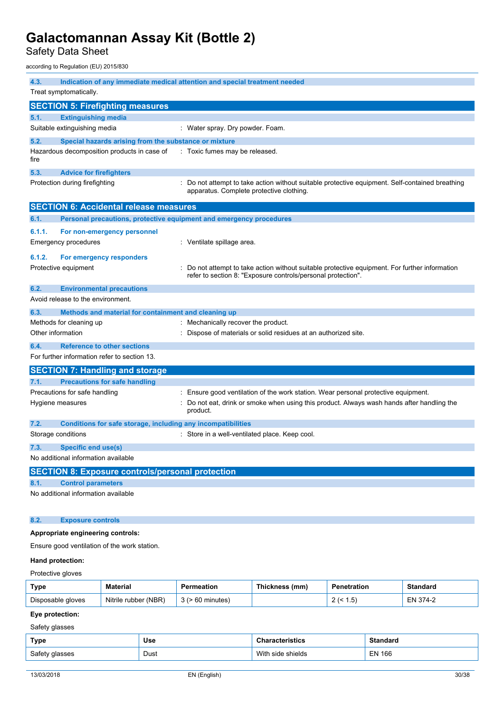Safety Data Sheet

according to Regulation (EU) 2015/830

| 4.3.              | Treat symptomatically.                                              | Indication of any immediate medical attention and special treatment needed                                                                                   |
|-------------------|---------------------------------------------------------------------|--------------------------------------------------------------------------------------------------------------------------------------------------------------|
|                   | <b>SECTION 5: Firefighting measures</b>                             |                                                                                                                                                              |
| 5.1.              | <b>Extinguishing media</b>                                          |                                                                                                                                                              |
|                   | Suitable extinguishing media                                        | : Water spray. Dry powder. Foam.                                                                                                                             |
| 5.2.              | Special hazards arising from the substance or mixture               |                                                                                                                                                              |
| fire              | Hazardous decomposition products in case of                         | : Toxic fumes may be released.                                                                                                                               |
| 5.3.              | <b>Advice for firefighters</b>                                      |                                                                                                                                                              |
|                   | Protection during firefighting                                      | : Do not attempt to take action without suitable protective equipment. Self-contained breathing<br>apparatus. Complete protective clothing.                  |
|                   | <b>SECTION 6: Accidental release measures</b>                       |                                                                                                                                                              |
| 6.1.              | Personal precautions, protective equipment and emergency procedures |                                                                                                                                                              |
| 6.1.1.            | For non-emergency personnel                                         |                                                                                                                                                              |
|                   | <b>Emergency procedures</b>                                         | : Ventilate spillage area.                                                                                                                                   |
| 6.1.2.            | For emergency responders                                            |                                                                                                                                                              |
|                   | Protective equipment                                                | Do not attempt to take action without suitable protective equipment. For further information<br>refer to section 8: "Exposure controls/personal protection". |
| 6.2.              | <b>Environmental precautions</b>                                    |                                                                                                                                                              |
|                   | Avoid release to the environment.                                   |                                                                                                                                                              |
| 6.3.              | Methods and material for containment and cleaning up                |                                                                                                                                                              |
|                   | Methods for cleaning up                                             | : Mechanically recover the product.                                                                                                                          |
| Other information |                                                                     | Dispose of materials or solid residues at an authorized site.                                                                                                |
| 6.4.              | <b>Reference to other sections</b>                                  |                                                                                                                                                              |
|                   | For further information refer to section 13.                        |                                                                                                                                                              |
|                   | <b>SECTION 7: Handling and storage</b>                              |                                                                                                                                                              |
| 7.1.              | <b>Precautions for safe handling</b>                                |                                                                                                                                                              |
|                   | Precautions for safe handling                                       | Ensure good ventilation of the work station. Wear personal protective equipment.                                                                             |
|                   | Hygiene measures                                                    | Do not eat, drink or smoke when using this product. Always wash hands after handling the<br>product.                                                         |
| 7.2.              | Conditions for safe storage, including any incompatibilities        |                                                                                                                                                              |
|                   | Storage conditions                                                  | : Store in a well-ventilated place. Keep cool.                                                                                                               |
| 7.3.              | Specific end use(s)                                                 |                                                                                                                                                              |
|                   | No additional information available                                 |                                                                                                                                                              |
|                   | <b>SECTION 8: Exposure controls/personal protection</b>             |                                                                                                                                                              |
| 8.1.              | <b>Control parameters</b>                                           |                                                                                                                                                              |
|                   | No additional information available                                 |                                                                                                                                                              |
|                   |                                                                     |                                                                                                                                                              |
| 8.2.              | <b>Exposure controls</b>                                            |                                                                                                                                                              |
|                   | Appropriate engineering controls:                                   |                                                                                                                                                              |
|                   | Ensure good ventilation of the work station.                        |                                                                                                                                                              |
| Hand protection:  |                                                                     |                                                                                                                                                              |
| Protective gloves |                                                                     |                                                                                                                                                              |

| Type              | Material                | Permeation | Thickness (mm) | Penetration           | Standard |
|-------------------|-------------------------|------------|----------------|-----------------------|----------|
| Disposable gloves | (NBR)<br>Nitrile rubber | minutes    |                | h<br>' ٽ.<br><u>_</u> | EN 374-2 |

### **Eye protection:**

Safety glasses

| <b>Type</b>    | Use         | racterístics      | <b>Standard</b> |
|----------------|-------------|-------------------|-----------------|
| Safety glasses | Dust<br>--- | With side shields | <b>EN 166</b>   |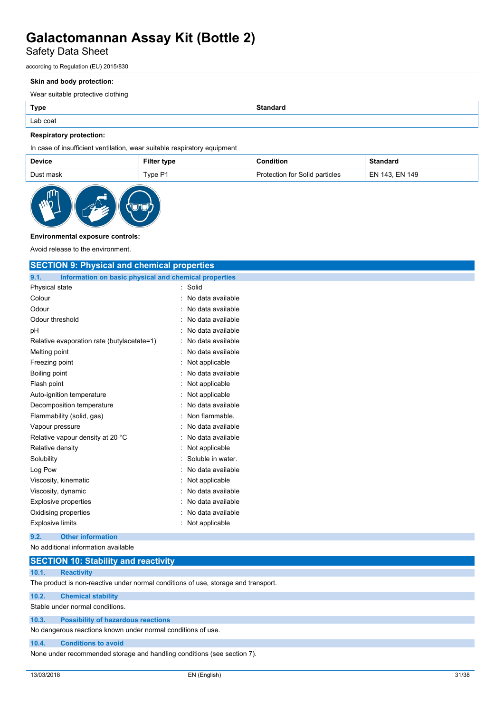## Safety Data Sheet

according to Regulation (EU) 2015/830

#### **Skin and body protection:**

Wear suitable protective clothing

| Type     | Standard |
|----------|----------|
| Lab coat |          |

#### **Respiratory protection:**

In case of insufficient ventilation, wear suitable respiratory equipment

| <b>Device</b> | Filter type | Condition                      | <b>Standard</b>  |
|---------------|-------------|--------------------------------|------------------|
| Dust mask     | Type P1     | Protection for Solid particles | ່ EN 143. EN 149 |



#### **Environmental exposure controls:**

Avoid release to the environment.

| <b>SECTION 9: Physical and chemical properties</b>            |                                |  |  |
|---------------------------------------------------------------|--------------------------------|--|--|
| 9.1.<br>Information on basic physical and chemical properties |                                |  |  |
| Physical state                                                | Solid                          |  |  |
| Colour                                                        | No data available<br>$\bullet$ |  |  |
| Odour                                                         | No data available              |  |  |
| Odour threshold                                               | No data available              |  |  |
| pH                                                            | No data available              |  |  |
| Relative evaporation rate (butylacetate=1)                    | No data available              |  |  |
| Melting point                                                 | No data available              |  |  |
| Freezing point                                                | Not applicable                 |  |  |
| <b>Boiling point</b>                                          | No data available              |  |  |
| Flash point                                                   | Not applicable                 |  |  |
| Auto-ignition temperature                                     | Not applicable                 |  |  |
| Decomposition temperature                                     | No data available              |  |  |
| Flammability (solid, gas)                                     | Non flammable.                 |  |  |
| Vapour pressure                                               | No data available              |  |  |
| Relative vapour density at 20 °C                              | No data available              |  |  |
| Relative density                                              | Not applicable                 |  |  |
| Solubility                                                    | Soluble in water.              |  |  |
| Log Pow                                                       | No data available              |  |  |
| Viscosity, kinematic                                          | Not applicable                 |  |  |
| Viscosity, dynamic                                            | No data available              |  |  |
| <b>Explosive properties</b>                                   | No data available              |  |  |
| Oxidising properties                                          | No data available              |  |  |
| <b>Explosive limits</b>                                       | Not applicable                 |  |  |
| <b>Other information</b><br>9.2.                              |                                |  |  |
| No additional information available                           |                                |  |  |
| <b>SECTION 10: Stability and reactivity</b>                   |                                |  |  |

#### **10.1. Reactivity**

The product is non-reactive under normal conditions of use, storage and transport.

#### **10.2. Chemical stability**

Stable under normal conditions.

#### **10.3. Possibility of hazardous reactions**

No dangerous reactions known under normal conditions of use.

#### **10.4. Conditions to avoid**

None under recommended storage and handling conditions (see section 7).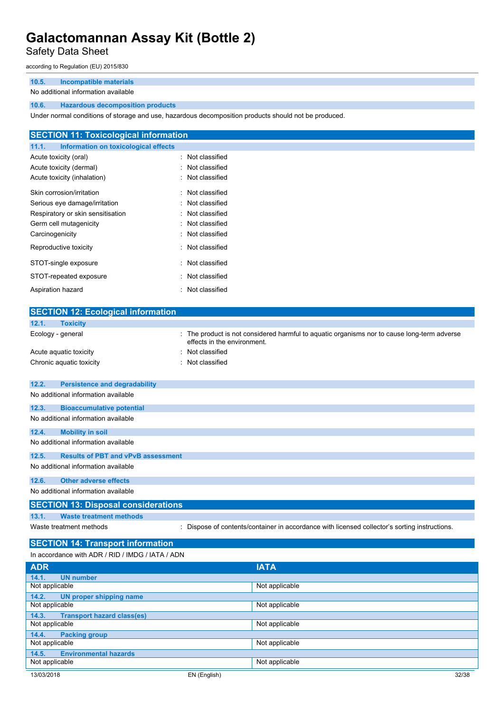### Safety Data Sheet

according to Regulation (EU) 2015/830

#### **10.5. Incompatible materials**

#### No additional information available

#### **10.6. Hazardous decomposition products**

Under normal conditions of storage and use, hazardous decomposition products should not be produced.

| <b>SECTION 11: Toxicological information</b>  |                  |
|-----------------------------------------------|------------------|
| Information on toxicological effects<br>11.1. |                  |
| Acute toxicity (oral)                         | : Not classified |
| Acute toxicity (dermal)                       | : Not classified |
| Acute toxicity (inhalation)                   | : Not classified |
| Skin corrosion/irritation                     | : Not classified |
| Serious eye damage/irritation                 | : Not classified |
| Respiratory or skin sensitisation             | : Not classified |
| Germ cell mutagenicity                        | : Not classified |
| Carcinogenicity                               | : Not classified |
| Reproductive toxicity                         | : Not classified |
| STOT-single exposure                          | : Not classified |
| STOT-repeated exposure                        | : Not classified |
| Aspiration hazard                             | : Not classified |

| <b>SECTION 12: Ecological information</b>          |                                                                                                                          |  |  |  |
|----------------------------------------------------|--------------------------------------------------------------------------------------------------------------------------|--|--|--|
| 12.1.<br><b>Toxicity</b>                           |                                                                                                                          |  |  |  |
| Ecology - general                                  | The product is not considered harmful to aquatic organisms nor to cause long-term adverse<br>effects in the environment. |  |  |  |
| Acute aquatic toxicity                             | : Not classified                                                                                                         |  |  |  |
| Chronic aquatic toxicity                           | : Not classified                                                                                                         |  |  |  |
|                                                    |                                                                                                                          |  |  |  |
| 12.2.<br><b>Persistence and degradability</b>      |                                                                                                                          |  |  |  |
| No additional information available                |                                                                                                                          |  |  |  |
| 12.3.<br><b>Bioaccumulative potential</b>          |                                                                                                                          |  |  |  |
| No additional information available                |                                                                                                                          |  |  |  |
| 12.4.<br><b>Mobility in soil</b>                   |                                                                                                                          |  |  |  |
| No additional information available                |                                                                                                                          |  |  |  |
| 12.5.<br><b>Results of PBT and vPvB assessment</b> |                                                                                                                          |  |  |  |
| No additional information available                |                                                                                                                          |  |  |  |
|                                                    |                                                                                                                          |  |  |  |
| <b>Other adverse effects</b><br>12.6.              |                                                                                                                          |  |  |  |
| No additional information available                |                                                                                                                          |  |  |  |
| <b>SECTION 13: Disposal considerations</b>         |                                                                                                                          |  |  |  |
| 13.1.<br><b>Waste treatment methods</b>            |                                                                                                                          |  |  |  |
| Waste treatment methods                            | : Dispose of contents/container in accordance with licensed collector's sorting instructions.                            |  |  |  |
|                                                    |                                                                                                                          |  |  |  |
| <b>SECTION 14: Transport information</b>           |                                                                                                                          |  |  |  |
| In accordance with ADR / RID / IMDG / IATA / ADN   |                                                                                                                          |  |  |  |
| <b>ADR</b>                                         | ΙΔΤΔ                                                                                                                     |  |  |  |

| <b>ADR</b>                                 | <b>IATA</b>    |       |
|--------------------------------------------|----------------|-------|
| 14.1.<br><b>UN number</b>                  |                |       |
| Not applicable                             | Not applicable |       |
| 14.2.<br><b>UN proper shipping name</b>    |                |       |
| Not applicable                             | Not applicable |       |
| <b>Transport hazard class(es)</b><br>14.3. |                |       |
| Not applicable                             | Not applicable |       |
| 14.4.<br><b>Packing group</b>              |                |       |
| Not applicable                             | Not applicable |       |
| <b>Environmental hazards</b><br>14.5.      |                |       |
| Not applicable                             | Not applicable |       |
| 13/03/2018                                 | EN (English)   | 32/38 |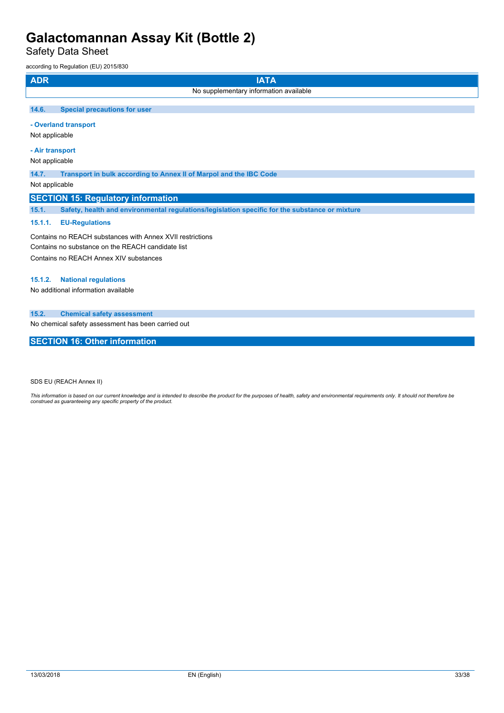Safety Data Sheet

according to Regulation (EU) 2015/830

| <b>ADR</b><br><b>IATA</b>                                                                                      |  |  |  |
|----------------------------------------------------------------------------------------------------------------|--|--|--|
| No supplementary information available                                                                         |  |  |  |
| <b>Special precautions for user</b><br>14.6.                                                                   |  |  |  |
| - Overland transport<br>Not applicable                                                                         |  |  |  |
| - Air transport<br>Not applicable                                                                              |  |  |  |
| 14.7.<br>Transport in bulk according to Annex II of Marpol and the IBC Code<br>Not applicable                  |  |  |  |
| <b>SECTION 15: Regulatory information</b>                                                                      |  |  |  |
| 15.1.<br>Safety, health and environmental regulations/legislation specific for the substance or mixture        |  |  |  |
| 15.1.1.<br><b>EU-Regulations</b>                                                                               |  |  |  |
| Contains no REACH substances with Annex XVII restrictions<br>Contains no substance on the REACH candidate list |  |  |  |

Contains no REACH Annex XIV substances

### **15.1.2. National regulations**

No additional information available

### **15.2. Chemical safety assessment**

No chemical safety assessment has been carried out

### **SECTION 16: Other information**

SDS EU (REACH Annex II)

This information is based on our current knowledge and is intended to describe the product for the purposes of health, safety and environmental requirements only. It should not therefore be<br>construed as guaranteeing any sp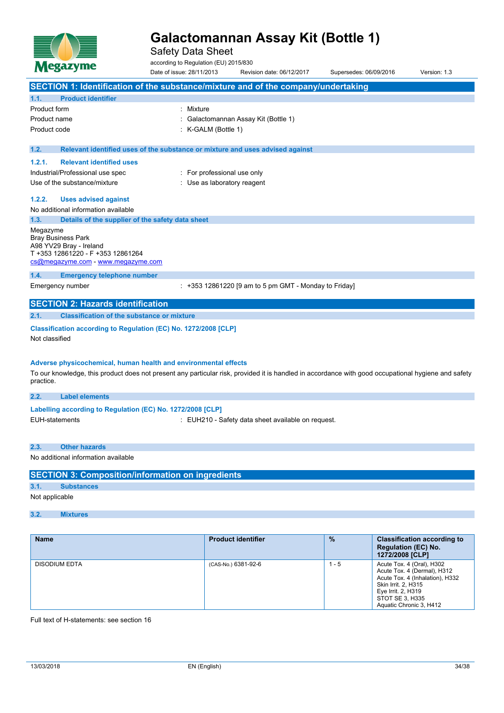

Safety Data Sheet

according to Regulation (EU) 2015/830 Date of issue: 28/11/2013 Revision date: 06/12/2017 Supersedes: 06/09/2016 Version: 1.3 **SECTION 1: Identification of the substance/mixture and of the company/undertaking 1.1. Product identifier** Product form : Nixture Product name : Galactomannan Assay Kit (Bottle 1) Product code : K-GALM (Bottle 1) **1.2. Relevant identified uses of the substance or mixture and uses advised against 1.2.1. Relevant identified uses** Industrial/Professional use spec : For professional use only Use of the substance/mixture in the substance/mixture in the substance of the substance of the substance of the substance of the substance of the substance of the substance of the substance of the substance of the substanc **1.2.2. Uses advised against** No additional information available **1.3. Details of the supplier of the safety data sheet** Megazyme Bray Business Park A98 YV29 Bray - Ireland T +353 12861220 - F +353 12861264 [cs@megazyme.com](mailto:cs@megazyme.com) - <www.megazyme.com> **1.4. Emergency telephone number** Emergency number : +353 12861220 [9 am to 5 pm GMT - Monday to Friday] **SECTION 2: Hazards identification 2.1. Classification of the substance or mixture Classification according to Regulation (EC) No. 1272/2008 [CLP]** Not classified **Adverse physicochemical, human health and environmental effects** To our knowledge, this product does not present any particular risk, provided it is handled in accordance with good occupational hygiene and safety practice. **2.2. Label elements Labelling** according to Regulation (EC) No. 1272/2008 [CLP] EUH-statements **EUH210** - Safety data sheet available on request. **2.3. Other hazards**

No additional information available

| <b>SECTION 3: Composition/information on ingredients</b> |                   |  |  |  |
|----------------------------------------------------------|-------------------|--|--|--|
| 3.1.                                                     | <b>Substances</b> |  |  |  |
| Not applicable                                           |                   |  |  |  |
|                                                          |                   |  |  |  |

### **3.2. Mixtures**

| <b>Name</b>          | <b>Product identifier</b> | $\frac{9}{6}$ | <b>Classification according to</b><br><b>Regulation (EC) No.</b><br>1272/2008 [CLP]                                                                                                    |
|----------------------|---------------------------|---------------|----------------------------------------------------------------------------------------------------------------------------------------------------------------------------------------|
| <b>DISODIUM EDTA</b> | (CAS-No.) 6381-92-6       | $1 - 5$       | Acute Tox. 4 (Oral), H302<br>Acute Tox. 4 (Dermal), H312<br>Acute Tox. 4 (Inhalation), H332<br>Skin Irrit. 2, H315<br>Eye Irrit. 2, H319<br>STOT SE 3, H335<br>Aquatic Chronic 3, H412 |

Full text of H-statements: see section 16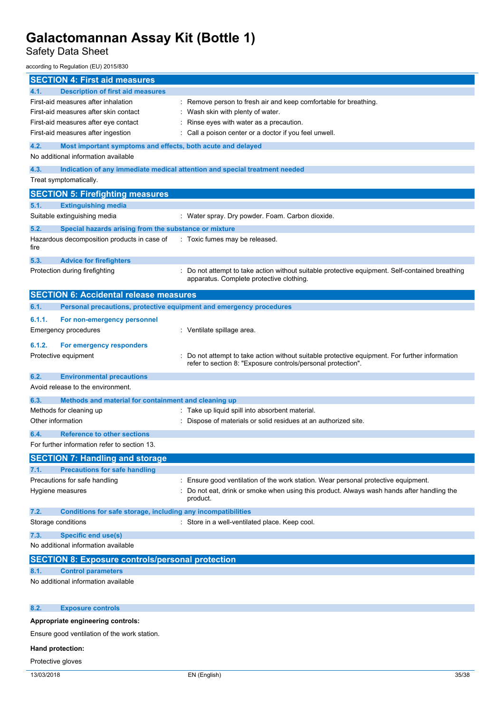Safety Data Sheet

according to Regulation (EU) 2015/830

| <b>SECTION 4: First aid measures</b>                                        |                                                                                                                                             |
|-----------------------------------------------------------------------------|---------------------------------------------------------------------------------------------------------------------------------------------|
| 4.1.<br><b>Description of first aid measures</b>                            |                                                                                                                                             |
| First-aid measures after inhalation                                         | : Remove person to fresh air and keep comfortable for breathing.                                                                            |
| First-aid measures after skin contact                                       | : Wash skin with plenty of water.                                                                                                           |
| First-aid measures after eye contact                                        | Rinse eyes with water as a precaution.                                                                                                      |
| First-aid measures after ingestion                                          | Call a poison center or a doctor if you feel unwell.                                                                                        |
| 4.2.<br>Most important symptoms and effects, both acute and delayed         |                                                                                                                                             |
| No additional information available                                         |                                                                                                                                             |
| 4.3.                                                                        | Indication of any immediate medical attention and special treatment needed                                                                  |
| Treat symptomatically.                                                      |                                                                                                                                             |
|                                                                             |                                                                                                                                             |
| <b>SECTION 5: Firefighting measures</b>                                     |                                                                                                                                             |
| 5.1.<br><b>Extinguishing media</b>                                          |                                                                                                                                             |
| Suitable extinguishing media                                                | : Water spray. Dry powder. Foam. Carbon dioxide.                                                                                            |
| 5.2.<br>Special hazards arising from the substance or mixture               |                                                                                                                                             |
| Hazardous decomposition products in case of<br>fire                         | : Toxic fumes may be released.                                                                                                              |
| 5.3.<br><b>Advice for firefighters</b>                                      |                                                                                                                                             |
| Protection during firefighting                                              | : Do not attempt to take action without suitable protective equipment. Self-contained breathing<br>apparatus. Complete protective clothing. |
| <b>SECTION 6: Accidental release measures</b>                               |                                                                                                                                             |
| Personal precautions, protective equipment and emergency procedures<br>6.1. |                                                                                                                                             |
|                                                                             |                                                                                                                                             |
| 6.1.1.<br>For non-emergency personnel                                       |                                                                                                                                             |
| Emergency procedures                                                        | : Ventilate spillage area.                                                                                                                  |
| 6.1.2.<br>For emergency responders                                          |                                                                                                                                             |
| Protective equipment                                                        | Do not attempt to take action without suitable protective equipment. For further information                                                |
|                                                                             | refer to section 8: "Exposure controls/personal protection".                                                                                |
| 6.2.<br><b>Environmental precautions</b>                                    |                                                                                                                                             |
| Avoid release to the environment.                                           |                                                                                                                                             |
| 6.3.<br>Methods and material for containment and cleaning up                |                                                                                                                                             |
| Methods for cleaning up                                                     | : Take up liquid spill into absorbent material.                                                                                             |
| Other information                                                           | : Dispose of materials or solid residues at an authorized site.                                                                             |
|                                                                             |                                                                                                                                             |
| <b>Reference to other sections</b><br>6.4.                                  |                                                                                                                                             |
| For further information refer to section 13.                                |                                                                                                                                             |
| <b>SECTION 7: Handling and storage</b>                                      |                                                                                                                                             |
| <b>Precautions for safe handling</b><br>7.1.                                |                                                                                                                                             |
| Precautions for safe handling                                               | Ensure good ventilation of the work station. Wear personal protective equipment.                                                            |
| Hygiene measures                                                            | Do not eat, drink or smoke when using this product. Always wash hands after handling the                                                    |
|                                                                             | product.                                                                                                                                    |
| 7.2.<br>Conditions for safe storage, including any incompatibilities        |                                                                                                                                             |
| Storage conditions                                                          | : Store in a well-ventilated place. Keep cool.                                                                                              |
| <b>Specific end use(s)</b><br>7.3.                                          |                                                                                                                                             |
| No additional information available                                         |                                                                                                                                             |
|                                                                             |                                                                                                                                             |
| <b>SECTION 8: Exposure controls/personal protection</b>                     |                                                                                                                                             |
| 8.1.<br><b>Control parameters</b>                                           |                                                                                                                                             |
| No additional information available                                         |                                                                                                                                             |
|                                                                             |                                                                                                                                             |
| 8.2.<br><b>Exposure controls</b>                                            |                                                                                                                                             |
|                                                                             |                                                                                                                                             |
| Appropriate engineering controls:                                           |                                                                                                                                             |
| Ensure good ventilation of the work station.                                |                                                                                                                                             |
| Hand protection:                                                            |                                                                                                                                             |

Protective gloves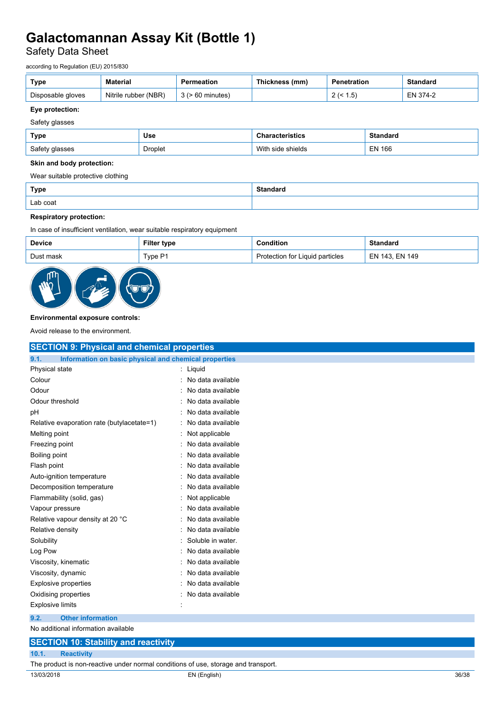Safety Data Sheet

according to Regulation (EU) 2015/830

| Type              | <b>Material</b>      | Permeation            | Thickness (mm) | Penetration | Standard      |
|-------------------|----------------------|-----------------------|----------------|-------------|---------------|
| Disposable gloves | Nitrile rubber (NBR) | $3$ ( $> 60$ minutes) |                | ن. ا        | 374-2<br>EN 3 |

#### **Eye protection:**

#### Safety glasses

| Type           | Use     | <b>Characteristics</b> | <b>Standard</b> |
|----------------|---------|------------------------|-----------------|
| Safety glasses | Droplet | With side shields      | <b>EN 166</b>   |

#### **Skin and body protection:**

Wear suitable protective clothing

| <b>Type</b> | Standaro |
|-------------|----------|
| Lab coat    |          |

#### **Respiratory protection:**

In case of insufficient ventilation, wear suitable respiratory equipment

| <b>Device</b> | <b>Filter type</b> | <b>Condition:</b>               | <b>Standard</b> |
|---------------|--------------------|---------------------------------|-----------------|
| Dust mask     | Type P1            | Protection for Liquid particles | EN 143. EN 149  |



#### **Environmental exposure controls:**

Avoid release to the environment.

| <b>SECTION 9: Physical and chemical properties</b>    |
|-------------------------------------------------------|
| Information on basic physical and chemical properties |
| Liquid                                                |
| No data available                                     |
| No data available                                     |
| No data available                                     |
| No data available                                     |
| No data available                                     |
| Not applicable                                        |
| No data available                                     |
| No data available                                     |
| No data available                                     |
| No data available                                     |
| No data available                                     |
| Not applicable                                        |
| No data available                                     |
| No data available                                     |
| No data available                                     |
| Soluble in water.                                     |
| No data available                                     |
| No data available                                     |
| No data available                                     |
| No data available                                     |
| No data available                                     |
|                                                       |
|                                                       |
|                                                       |
|                                                       |
|                                                       |
|                                                       |

The product is non-reactive under normal conditions of use, storage and transport.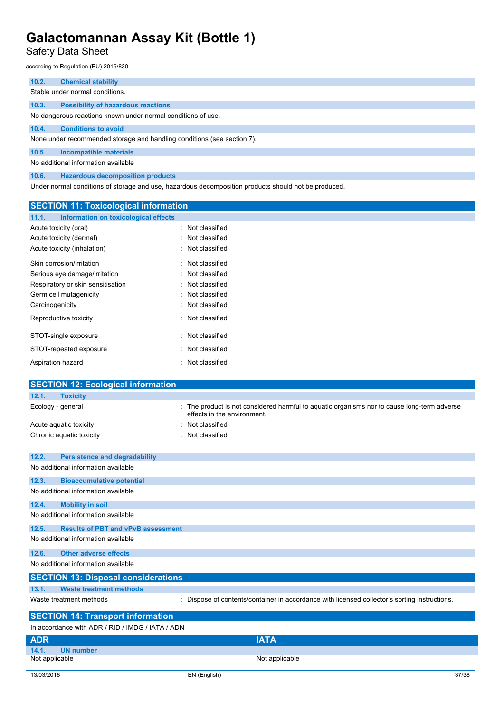Safety Data Sheet

according to Regulation (EU) 2015/830

| 10.2. | <b>Chemical stability</b>                                               |
|-------|-------------------------------------------------------------------------|
|       |                                                                         |
|       | Stable under normal conditions.                                         |
| 10.3. | <b>Possibility of hazardous reactions</b>                               |
|       | No dangerous reactions known under normal conditions of use.            |
| 10.4. | <b>Conditions to avoid</b>                                              |
|       | None under recommended storage and handling conditions (see section 7). |
| 10.5. | <b>Incompatible materials</b>                                           |
|       | No additional information available                                     |
| 10.6. | <b>Hazardous decomposition products</b>                                 |

Under normal conditions of storage and use, hazardous decomposition products should not be produced.

| <b>SECTION 11: Toxicological information</b>  |                                                                                                                          |
|-----------------------------------------------|--------------------------------------------------------------------------------------------------------------------------|
| 11.1.<br>Information on toxicological effects |                                                                                                                          |
| Acute toxicity (oral)                         | Not classified                                                                                                           |
| Acute toxicity (dermal)                       | : Not classified                                                                                                         |
| Acute toxicity (inhalation)                   | : Not classified                                                                                                         |
| Skin corrosion/irritation                     | : Not classified                                                                                                         |
| Serious eye damage/irritation                 | Not classified                                                                                                           |
| Respiratory or skin sensitisation             | Not classified                                                                                                           |
| Germ cell mutagenicity                        | Not classified                                                                                                           |
| Carcinogenicity                               | : Not classified                                                                                                         |
| Reproductive toxicity                         | : Not classified                                                                                                         |
| STOT-single exposure                          | Not classified                                                                                                           |
| STOT-repeated exposure                        | : Not classified                                                                                                         |
| Aspiration hazard                             | : Not classified                                                                                                         |
| <b>SECTION 12: Ecological information</b>     |                                                                                                                          |
| 12.1.<br><b>Toxicity</b>                      |                                                                                                                          |
| Ecology - general                             | The product is not considered harmful to aquatic organisms nor to cause long-term adverse<br>effects in the environment. |
| Acute aquatic toxicity                        | Not classified                                                                                                           |
| Chronic aquatic toxicity                      | Not classified                                                                                                           |
| 12.2.<br><b>Persistence and degradability</b> |                                                                                                                          |

| 14.4.<br><b>FUISIBIULE AND UP ADMILIST</b><br>No additional information available |                                                                                               |
|-----------------------------------------------------------------------------------|-----------------------------------------------------------------------------------------------|
| 12.3.<br><b>Bioaccumulative potential</b>                                         |                                                                                               |
| No additional information available                                               |                                                                                               |
| 12.4.<br><b>Mobility in soil</b>                                                  |                                                                                               |
| No additional information available                                               |                                                                                               |
| <b>Results of PBT and vPvB assessment</b><br>12.5.                                |                                                                                               |
| No additional information available                                               |                                                                                               |
| 12.6.<br><b>Other adverse effects</b>                                             |                                                                                               |
| No additional information available                                               |                                                                                               |
| <b>SECTION 13: Disposal considerations</b>                                        |                                                                                               |
| 13.1.<br><b>Waste treatment methods</b>                                           |                                                                                               |
| Waste treatment methods                                                           | : Dispose of contents/container in accordance with licensed collector's sorting instructions. |
| <b>SECTION 14: Transport information</b>                                          |                                                                                               |
| In accordance with ADR / RID / IMDG / IATA / ADN                                  |                                                                                               |
| <b>ADR</b>                                                                        | <b>IATA</b>                                                                                   |